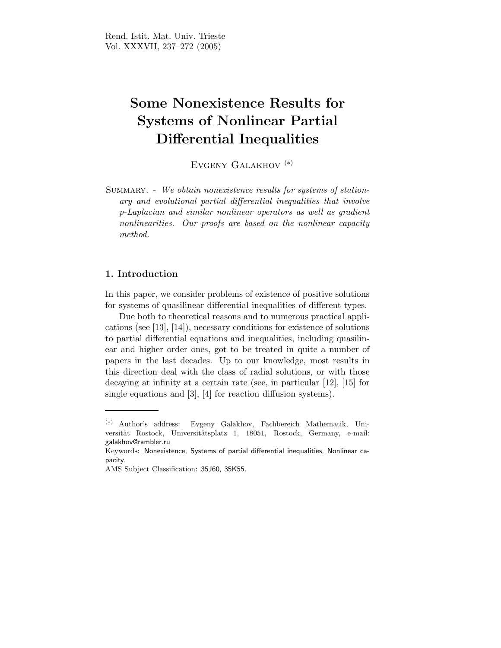# Some Nonexistence Results for Systems of Nonlinear Partial Differential Inequalities

Evgeny Galakhov (∗)

SUMMARY. - We obtain nonexistence results for systems of stationary and evolutional partial differential inequalities that involve p-Laplacian and similar nonlinear operators as well as gradient nonlinearities. Our proofs are based on the nonlinear capacity method.

# 1. Introduction

In this paper, we consider problems of existence of positive solutions for systems of quasilinear differential inequalities of different types.

Due both to theoretical reasons and to numerous practical applications (see [13], [14]), necessary conditions for existence of solutions to partial differential equations and inequalities, including quasilinear and higher order ones, got to be treated in quite a number of papers in the last decades. Up to our knowledge, most results in this direction deal with the class of radial solutions, or with those decaying at infinity at a certain rate (see, in particular [12], [15] for single equations and [3], [4] for reaction diffusion systems).

<sup>(</sup>∗) Author's address: Evgeny Galakhov, Fachbereich Mathematik, Universität Rostock, Universitätsplatz 1, 18051, Rostock, Germany, e-mail: galakhov@rambler.ru

Keywords: Nonexistence, Systems of partial differential inequalities, Nonlinear capacity.

AMS Subject Classification: 35J60, 35K55.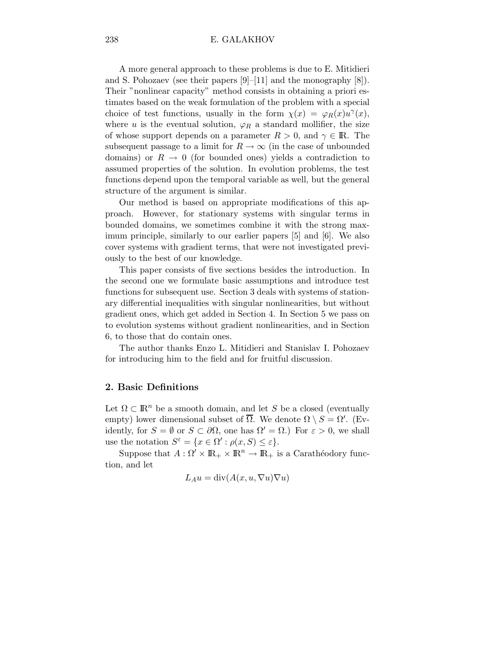#### 238 E. GALAKHOV

A more general approach to these problems is due to E. Mitidieri and S. Pohozaev (see their papers [9]–[11] and the monography [8]). Their "nonlinear capacity" method consists in obtaining a priori estimates based on the weak formulation of the problem with a special choice of test functions, usually in the form  $\chi(x) = \varphi_R(x) u^{\gamma}(x)$ , where u is the eventual solution,  $\varphi_R$  a standard mollifier, the size of whose support depends on a parameter  $R > 0$ , and  $\gamma \in \mathbb{R}$ . The subsequent passage to a limit for  $R \to \infty$  (in the case of unbounded domains) or  $R \to 0$  (for bounded ones) yields a contradiction to assumed properties of the solution. In evolution problems, the test functions depend upon the temporal variable as well, but the general structure of the argument is similar.

Our method is based on appropriate modifications of this approach. However, for stationary systems with singular terms in bounded domains, we sometimes combine it with the strong maximum principle, similarly to our earlier papers [5] and [6]. We also cover systems with gradient terms, that were not investigated previously to the best of our knowledge.

This paper consists of five sections besides the introduction. In the second one we formulate basic assumptions and introduce test functions for subsequent use. Section 3 deals with systems of stationary differential inequalities with singular nonlinearities, but without gradient ones, which get added in Section 4. In Section 5 we pass on to evolution systems without gradient nonlinearities, and in Section 6, to those that do contain ones.

The author thanks Enzo L. Mitidieri and Stanislav I. Pohozaev for introducing him to the field and for fruitful discussion.

# 2. Basic Definitions

Let  $\Omega \subset \mathbb{R}^n$  be a smooth domain, and let S be a closed (eventually empty) lower dimensional subset of  $\overline{\Omega}$ . We denote  $\Omega \setminus S = \Omega'$ . (Evidently, for  $S = \emptyset$  or  $S \subset \partial \Omega$ , one has  $\Omega' = \Omega$ .) For  $\varepsilon > 0$ , we shall use the notation  $S^{\varepsilon} = \{x \in \Omega': \rho(x, S) \leq \varepsilon\}.$ 

Suppose that  $A: \Omega' \times \mathbb{R}_+ \times \mathbb{R}^n \to \mathbb{R}_+$  is a Carathéodory function, and let

$$
L_A u = \text{div}(A(x, u, \nabla u) \nabla u)
$$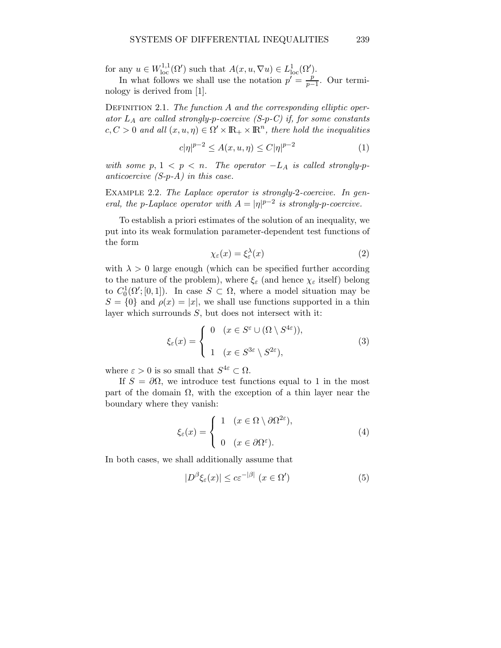for any  $u \in W^{1,1}_{loc}(\Omega')$  such that  $A(x, u, \nabla u) \in L^1_{loc}(\Omega')$ .

In what follows we shall use the notation  $p' = \frac{p}{p-1}$  $\frac{p}{p-1}$ . Our terminology is derived from [1].

DEFINITION 2.1. The function  $A$  and the corresponding elliptic operator  $L_A$  are called strongly-p-coercive (S-p-C) if, for some constants  $c, C > 0$  and all  $(x, u, \eta) \in \Omega' \times \mathbb{R}_+ \times \mathbb{R}^n$ , there hold the inequalities

$$
c|\eta|^{p-2} \le A(x, u, \eta) \le C|\eta|^{p-2} \tag{1}
$$

with some  $p, 1 < p < n$ . The operator  $-L<sub>A</sub>$  is called strongly-panticoercive  $(S-p-A)$  in this case.

Example 2.2. The Laplace operator is strongly-2-coercive. In general, the p-Laplace operator with  $A = |\eta|^{p-2}$  is strongly-p-coercive.

To establish a priori estimates of the solution of an inequality, we put into its weak formulation parameter-dependent test functions of the form

$$
\chi_{\varepsilon}(x) = \xi_{\varepsilon}^{\lambda}(x) \tag{2}
$$

with  $\lambda > 0$  large enough (which can be specified further according to the nature of the problem), where  $\xi_{\varepsilon}$  (and hence  $\chi_{\varepsilon}$  itself) belong to  $C_0^1(\Omega';[0,1])$ . In case  $S \subset \Omega$ , where a model situation may be  $S = \{0\}$  and  $\rho(x) = |x|$ , we shall use functions supported in a thin layer which surrounds S, but does not intersect with it:

$$
\xi_{\varepsilon}(x) = \begin{cases} 0 & (x \in S^{\varepsilon} \cup (\Omega \setminus S^{4\varepsilon})), \\ 1 & (x \in S^{3\varepsilon} \setminus S^{2\varepsilon}), \end{cases}
$$
 (3)

where  $\varepsilon > 0$  is so small that  $S^{4\varepsilon} \subset \Omega$ .

If  $S = \partial \Omega$ , we introduce test functions equal to 1 in the most part of the domain  $\Omega$ , with the exception of a thin layer near the boundary where they vanish:

$$
\xi_{\varepsilon}(x) = \begin{cases} 1 & (x \in \Omega \setminus \partial \Omega^{2\varepsilon}), \\ 0 & (x \in \partial \Omega^{\varepsilon}). \end{cases}
$$
 (4)

In both cases, we shall additionally assume that

$$
|D^{\beta}\xi_{\varepsilon}(x)| \le c\varepsilon^{-|\beta|} \ (x \in \Omega') \tag{5}
$$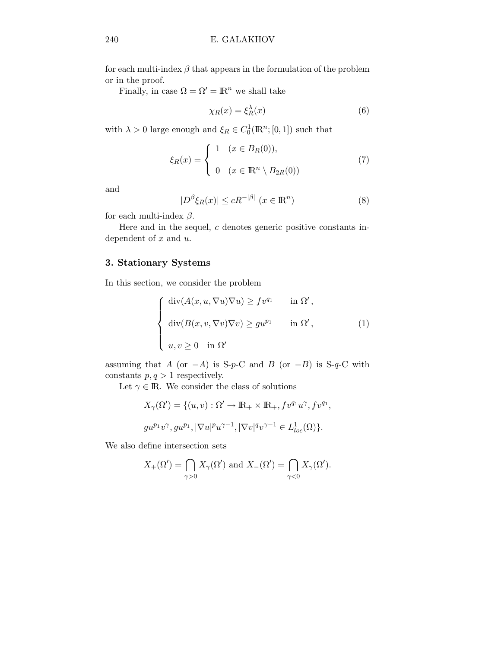for each multi-index  $\beta$  that appears in the formulation of the problem or in the proof.

Finally, in case  $\Omega = \Omega' = \mathbb{R}^n$  we shall take

$$
\chi_R(x) = \xi_R^{\lambda}(x) \tag{6}
$$

with  $\lambda > 0$  large enough and  $\xi_R \in C_0^1(\mathbb{R}^n; [0,1])$  such that

$$
\xi_R(x) = \begin{cases} 1 & (x \in B_R(0)), \\ 0 & (x \in \mathbb{R}^n \setminus B_{2R}(0)) \end{cases}
$$
 (7)

and

$$
|D^{\beta}\xi_R(x)| \le cR^{-|\beta|} \ (x \in \mathbb{R}^n)
$$
 (8)

for each multi-index  $\beta$ .

Here and in the sequel, c denotes generic positive constants independent of  $x$  and  $u$ .

# 3. Stationary Systems

In this section, we consider the problem

$$
\begin{cases}\n\operatorname{div}(A(x, u, \nabla u) \nabla u) \ge f v^{q_1} & \text{in } \Omega', \\
\operatorname{div}(B(x, v, \nabla v) \nabla v) \ge g u^{p_1} & \text{in } \Omega', \\
u, v \ge 0 & \text{in } \Omega'\n\end{cases}
$$
\n(1)

assuming that A (or  $-A$ ) is S-p-C and B (or  $-B$ ) is S-q-C with constants  $p, q > 1$  respectively.

Let  $\gamma \in \mathbb{R}$ . We consider the class of solutions

$$
X_{\gamma}(\Omega') = \{(u, v) : \Omega' \to \mathbb{R}_+ \times \mathbb{R}_+, f v^{q_1} u^{\gamma}, f v^{q_1},
$$
  

$$
g u^{p_1} v^{\gamma}, g u^{p_1}, |\nabla u|^p u^{\gamma - 1}, |\nabla v|^q v^{\gamma - 1} \in L^1_{loc}(\Omega)\}.
$$

We also define intersection sets

$$
X_+(\Omega') = \bigcap_{\gamma > 0} X_{\gamma}(\Omega') \text{ and } X_-(\Omega') = \bigcap_{\gamma < 0} X_{\gamma}(\Omega').
$$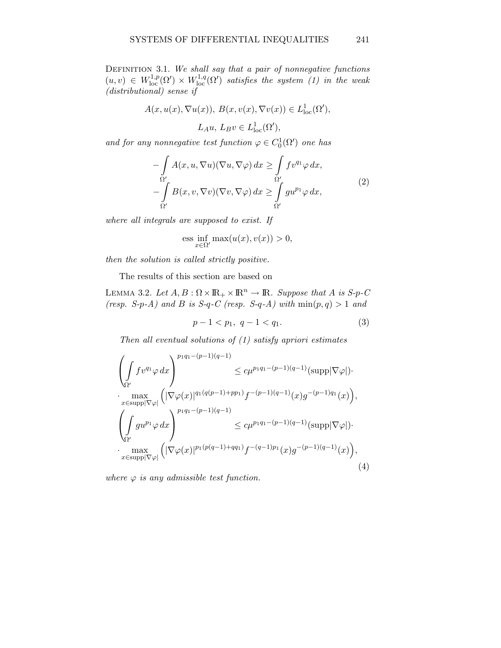DEFINITION 3.1. We shall say that a pair of nonnegative functions  $(u, v) \in W^{1,p}_{loc}(\Omega') \times W^{1,q}_{loc}(\Omega')$  satisfies the system (1) in the weak (distributional) sense if

$$
A(x, u(x), \nabla u(x)), B(x, v(x), \nabla v(x)) \in L^1_{loc}(\Omega'),
$$
  

$$
L_A u, L_B v \in L^1_{loc}(\Omega'),
$$

and for any nonnegative test function  $\varphi \in C_0^1(\Omega')$  one has

$$
-\int_{\Omega'} A(x, u, \nabla u)(\nabla u, \nabla \varphi) dx \ge \int_{\Omega'} f v^{q_1} \varphi dx, -\int_{\Omega'} B(x, v, \nabla v)(\nabla v, \nabla \varphi) dx \ge \int_{\Omega'} g u^{p_1} \varphi dx,
$$
 (2)

where all integrals are supposed to exist. If

$$
\text{ess} \inf_{x \in \Omega'} \max(u(x), v(x)) > 0,
$$

then the solution is called strictly positive.

The results of this section are based on

LEMMA 3.2. Let  $A, B: \Omega \times \mathbb{R}_+ \times \mathbb{R}^n \to \mathbb{R}$ . Suppose that A is S-p-C (resp. S-p-A) and B is S-q-C (resp. S-q-A) with  $min(p, q) > 1$  and

$$
p - 1 < p_1, \ q - 1 < q_1. \tag{3}
$$

Then all eventual solutions of  $(1)$  satisfy apriori estimates

$$
\left(\int_{\Omega'} f v^{q_1} \varphi \, dx\right)^{p_1 q_1 - (p-1)(q-1)} \leq c \mu^{p_1 q_1 - (p-1)(q-1)} (\text{supp}|\nabla \varphi|) \cdot \max_{x \in \text{supp}|\nabla \varphi|} \left( |\nabla \varphi(x)|^{q_1 (q(p-1) + pp_1)} f^{-(p-1)(q-1)}(x) g^{-(p-1)q_1}(x) \right),
$$
\n
$$
\left(\int_{\Omega'} g u^{p_1} \varphi \, dx\right)^{p_1 q_1 - (p-1)(q-1)} \leq c \mu^{p_1 q_1 - (p-1)(q-1)} (\text{supp}|\nabla \varphi|) \cdot \max_{x \in \text{supp}|\nabla \varphi|} \left( |\nabla \varphi(x)|^{p_1 (p(q-1) + qq_1)} f^{-(q-1)p_1}(x) g^{-(p-1)(q-1)}(x) \right),
$$
\n(4)

where  $\varphi$  is any admissible test function.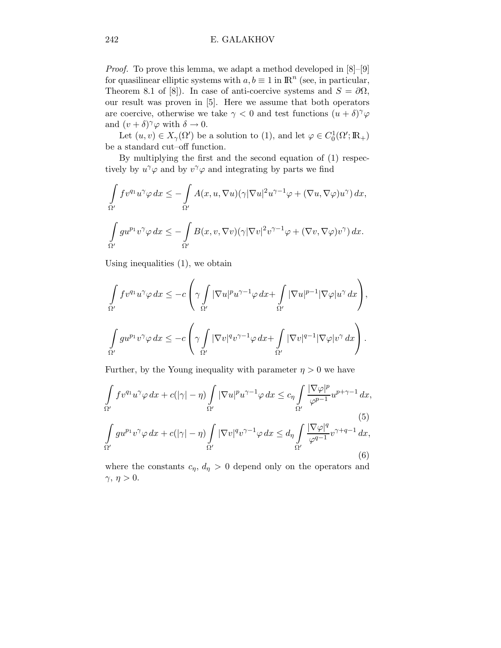Proof. To prove this lemma, we adapt a method developed in  $[8]-[9]$ for quasilinear elliptic systems with  $a, b \equiv 1$  in  $\mathbb{R}^n$  (see, in particular, Theorem 8.1 of [8]). In case of anti-coercive systems and  $S = \partial \Omega$ , our result was proven in [5]. Here we assume that both operators are coercive, otherwise we take  $\gamma < 0$  and test functions  $(u + \delta)^\gamma \varphi$ and  $(v + \delta)^\gamma \varphi$  with  $\delta \to 0$ .

Let  $(u, v) \in X_{\gamma}(\Omega')$  be a solution to (1), and let  $\varphi \in C_0^1(\Omega'; \mathbb{R}_+)$ be a standard cut–off function.

By multiplying the first and the second equation of (1) respectively by  $u^{\gamma}\varphi$  and by  $v^{\gamma}\varphi$  and integrating by parts we find

$$
\int_{\Omega'} f v^{q_1} u^{\gamma} \varphi \, dx \le - \int_{\Omega'} A(x, u, \nabla u) (\gamma |\nabla u|^2 u^{\gamma - 1} \varphi + (\nabla u, \nabla \varphi) u^{\gamma}) \, dx,
$$
  

$$
\int_{\Omega'} g u^{p_1} v^{\gamma} \varphi \, dx \le - \int_{\Omega'} B(x, v, \nabla v) (\gamma |\nabla v|^2 v^{\gamma - 1} \varphi + (\nabla v, \nabla \varphi) v^{\gamma}) \, dx.
$$

Using inequalities (1), we obtain

$$
\int_{\Omega'} f v^{q_1} u^{\gamma} \varphi \, dx \leq -c \left( \gamma \int_{\Omega'} |\nabla u|^p u^{\gamma-1} \varphi \, dx + \int_{\Omega'} |\nabla u|^{p-1} |\nabla \varphi| u^{\gamma} \, dx \right),
$$
  

$$
\int_{\Omega'} g u^{p_1} v^{\gamma} \varphi \, dx \leq -c \left( \gamma \int_{\Omega'} |\nabla v|^{q} v^{\gamma-1} \varphi \, dx + \int_{\Omega'} |\nabla v|^{q-1} |\nabla \varphi| v^{\gamma} \, dx \right).
$$

Further, by the Young inequality with parameter  $\eta > 0$  we have

$$
\int_{\Omega'} f v^{q_1} u^{\gamma} \varphi \, dx + c(|\gamma| - \eta) \int_{\Omega'} |\nabla u|^p u^{\gamma - 1} \varphi \, dx \leq c_{\eta} \int_{\Omega'} \frac{|\nabla \varphi|^p}{\varphi^{p-1}} u^{p + \gamma - 1} \, dx,
$$
\n(5)\n
$$
\int_{\Omega'} g u^{p_1} v^{\gamma} \varphi \, dx + c(|\gamma| - \eta) \int_{\Omega'} |\nabla v|^q v^{\gamma - 1} \varphi \, dx \leq d_{\eta} \int_{\Omega'} \frac{|\nabla \varphi|^q}{\varphi^{q-1}} v^{\gamma + q - 1} \, dx,
$$
\n(6)

where the constants  $c_{\eta}$ ,  $d_{\eta} > 0$  depend only on the operators and  $\gamma, \eta > 0.$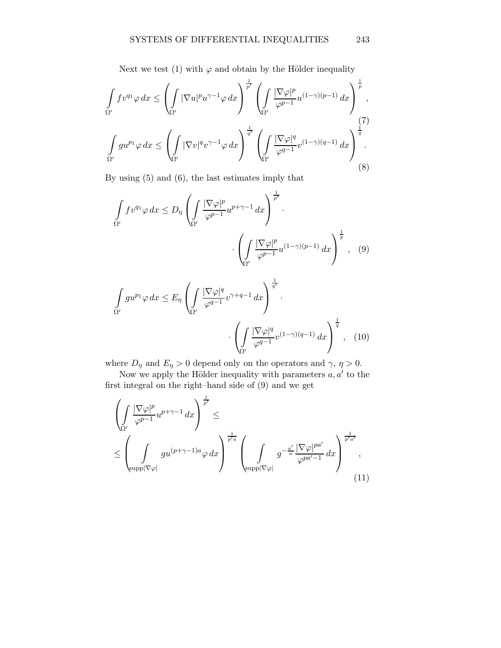Next we test (1) with  $\varphi$  and obtain by the Hölder inequality

$$
\int_{\Omega'} f v^{q_1} \varphi \, dx \le \left( \int_{\Omega'} |\nabla u|^{p} u^{\gamma - 1} \varphi \, dx \right)^{\frac{1}{p'}} \left( \int_{\Omega'} \frac{|\nabla \varphi|^{p}}{\varphi^{p-1}} u^{(1 - \gamma)(p-1)} \, dx \right)^{\frac{1}{p}},
$$
\n
$$
\int_{\Omega'} g u^{p_1} \varphi \, dx \le \left( \int_{\Omega'} |\nabla v|^{q} v^{\gamma - 1} \varphi \, dx \right)^{\frac{1}{q'}} \left( \int_{\Omega'} \frac{|\nabla \varphi|^{q}}{\varphi^{q-1}} v^{(1 - \gamma)(q-1)} \, dx \right)^{\frac{1}{q}}.
$$
\n(8)

By using (5) and (6), the last estimates imply that

$$
\int_{\Omega'} f v^{q_1} \varphi \, dx \le D_\eta \left( \int_{\Omega'} \frac{|\nabla \varphi|^p}{\varphi^{p-1}} u^{p+\gamma-1} \, dx \right)^{\frac{1}{p'}} \cdot \left( \int_{\Omega'} \frac{|\nabla \varphi|^p}{\varphi^{p-1}} u^{(1-\gamma)(p-1)} \, dx \right)^{\frac{1}{p}}, \quad (9)
$$

$$
\int_{\Omega'} g u^{p_1} \varphi \, dx \le E_\eta \left( \int_{\Omega'} \frac{|\nabla \varphi|^q}{\varphi^{q-1}} v^{\gamma+q-1} \, dx \right)^{\frac{1}{q'}} \cdot \left( \int_{\Omega'} \frac{|\nabla \varphi|^q}{\varphi^{q-1}} v^{(1-\gamma)(q-1)} \, dx \right)^{\frac{1}{q}}, \tag{10}
$$

where  $D_{\eta}$  and  $E_{\eta} > 0$  depend only on the operators and  $\gamma$ ,  $\eta > 0$ .

Now we apply the Hölder inequality with parameters  $a, a'$  to the first integral on the right–hand side of (9) and we get

$$
\left(\int_{\Omega'} \frac{|\nabla \varphi|^p}{\varphi^{p-1}} u^{p+\gamma-1} dx\right)^{\frac{1}{p'}} \leq
$$
\n
$$
\leq \left(\int_{\text{supp}|\nabla \varphi|} g u^{(p+\gamma-1)a} \varphi dx\right)^{\frac{1}{p'a}} \left(\int_{\text{supp}|\nabla \varphi|} g^{-\frac{a'}{a}} \frac{|\nabla \varphi|^{pa'}}{\varphi^{pa'-1}} dx\right)^{\frac{1}{p'a'}} ,\tag{11}
$$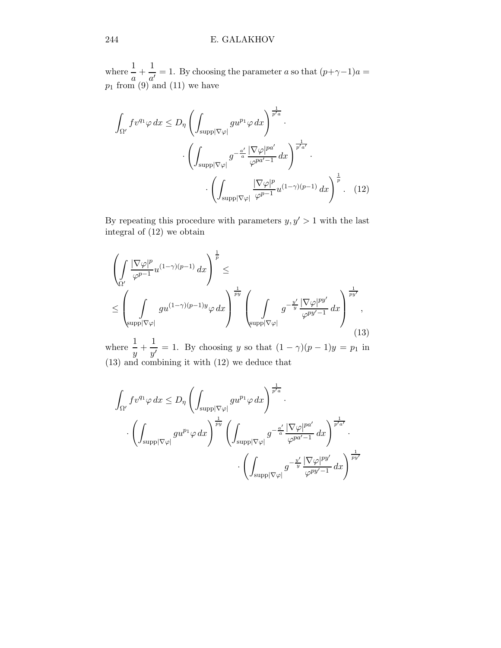where  $\frac{1}{a} + \frac{1}{a'}$  $\frac{1}{a'} = 1$ . By choosing the parameter a so that  $(p+\gamma-1)a =$  $p_1$  from (9) and (11) we have

$$
\int_{\Omega'} f v^{q_1} \varphi \, dx \le D_\eta \left( \int_{\text{supp}|\nabla \varphi|} g u^{p_1} \varphi \, dx \right)^{\frac{1}{p' a}} \cdot \left( \int_{\text{supp}|\nabla \varphi|} g^{-\frac{a'}{a}} \frac{|\nabla \varphi|^{pa'}}{\varphi^{pa'-1}} \, dx \right)^{\frac{1}{p'a'}} \cdot \left( \int_{\text{supp}|\nabla \varphi|} \frac{|\nabla \varphi|^{p}}{\varphi^{p-1}} u^{(1-\gamma)(p-1)} \, dx \right)^{\frac{1}{p}}. \tag{12}
$$

By repeating this procedure with parameters  $y,y^\prime > 1$  with the last integral of (12) we obtain

$$
\left(\int_{\Omega'}\frac{|\nabla\varphi|^p}{\varphi^{p-1}}u^{(1-\gamma)(p-1)}\,dx\right)^{\frac{1}{p}} \leq
$$
\n
$$
\leq \left(\int_{\text{supp}|\nabla\varphi|}gu^{(1-\gamma)(p-1)y}\varphi\,dx\right)^{\frac{1}{py}} \left(\int_{\text{supp}|\nabla\varphi|}g^{-\frac{y'}{y}}\frac{|\nabla\varphi|^{py'}}{\varphi^{py'-1}}\,dx\right)^{\frac{1}{py'}},\tag{13}
$$

where  $\frac{1}{y} + \frac{1}{y'}$  $\frac{1}{y'} = 1$ . By choosing y so that  $(1 - \gamma)(p - 1)y = p_1$  in (13) and combining it with (12) we deduce that

$$
\int_{\Omega'} f v^{q_1} \varphi \, dx \le D_\eta \left( \int_{\text{supp} |\nabla \varphi|} g u^{p_1} \varphi \, dx \right)^{\frac{1}{p' a}} \cdot \left( \int_{\text{supp} |\nabla \varphi|} g u^{p_1} \varphi \, dx \right)^{\frac{1}{p' a}} \cdot \left( \int_{\text{supp} |\nabla \varphi|} g^{-\frac{a'}{a}} \frac{|\nabla \varphi|^{p a'}}{\varphi^{p a' - 1}} \, dx \right)^{\frac{1}{p' a'}} \cdot \left( \int_{\text{supp} |\nabla \varphi|} g^{-\frac{y'}{y}} \frac{|\nabla \varphi|^{p y'}}{\varphi^{p y' - 1}} \, dx \right)^{\frac{1}{p y'}}
$$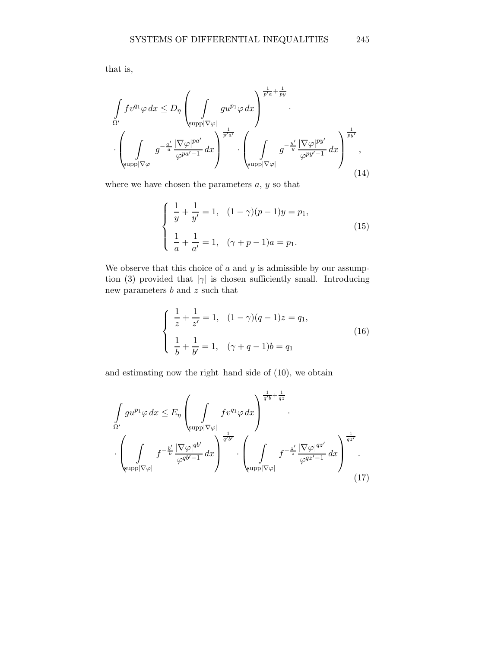that is,

$$
\int_{\Omega'} f v^{q_1} \varphi \, dx \le D_\eta \left( \int_{\text{supp}|\nabla \varphi|} g u^{p_1} \varphi \, dx \right)^{\frac{1}{p' a} + \frac{1}{p y}}.
$$
\n
$$
\cdot \left( \int_{\text{supp}|\nabla \varphi|} g^{-\frac{a'}{a}} \frac{|\nabla \varphi|^{p a'}}{\varphi^{p a' - 1}} dx \right)^{\frac{1}{p' a'}} \cdot \left( \int_{\text{supp}|\nabla \varphi|} g^{-\frac{y'}{y}} \frac{|\nabla \varphi|^{p y'}}{\varphi^{p y' - 1}} dx \right)^{\frac{1}{p y'}}.
$$
\n(14)

where we have chosen the parameters  $a, y$  so that

$$
\begin{cases}\n\frac{1}{y} + \frac{1}{y'} = 1, & (1 - \gamma)(p - 1)y = p_1, \\
\frac{1}{a} + \frac{1}{a'} = 1, & (\gamma + p - 1)a = p_1.\n\end{cases}
$$
\n(15)

We observe that this choice of  $a$  and  $y$  is admissible by our assumption (3) provided that  $|\gamma|$  is chosen sufficiently small. Introducing new parameters  $\boldsymbol{b}$  and  $\boldsymbol{z}$  such that

$$
\begin{cases} \frac{1}{z} + \frac{1}{z'} = 1, & (1 - \gamma)(q - 1)z = q_1, \\ \frac{1}{b} + \frac{1}{b'} = 1, & (\gamma + q - 1)b = q_1 \end{cases}
$$
\n(16)

and estimating now the right–hand side of (10), we obtain

$$
\int_{\Omega'} g u^{p_1} \varphi \, dx \le E_\eta \left( \int_{\text{supp}|\nabla \varphi|} f v^{q_1} \varphi \, dx \right)^{\frac{1}{q' b} + \frac{1}{q z}}.
$$
\n
$$
\cdot \left( \int_{\text{supp}|\nabla \varphi|} f^{-\frac{b'}{b}} \frac{|\nabla \varphi|^{q b'}}{\varphi^{q b'-1}} dx \right)^{\frac{1}{q' b'}} \cdot \left( \int_{\text{supp}|\nabla \varphi|} f^{-\frac{z'}{z}} \frac{|\nabla \varphi|^{q z'}}{\varphi^{q z'-1}} dx \right)^{\frac{1}{q z'}}.
$$
\n(17)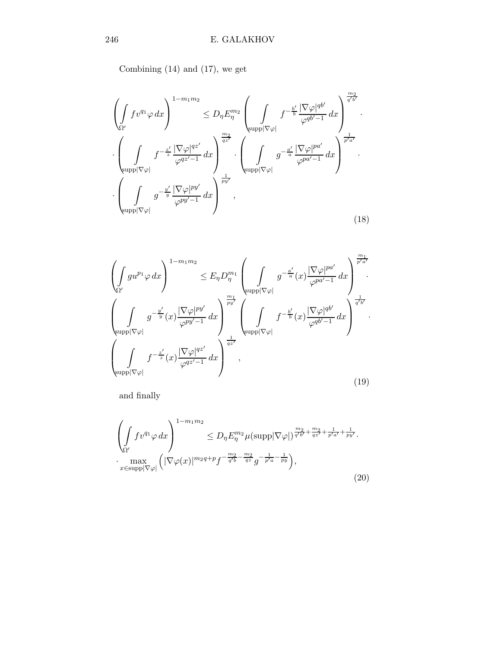Combining (14) and (17), we get

$$
\left(\int_{\Omega'} f v^{q_1} \varphi \, dx\right)^{1 - m_1 m_2} \leq D_{\eta} E_{\eta}^{m_2} \left(\int_{\text{supp}|\nabla \varphi|} f^{-\frac{b'}{b}} \frac{|\nabla \varphi|^{qb'}}{\varphi^{qb'-1}} \, dx\right)^{\frac{m_2}{q'b'}}.
$$
\n
$$
\cdot \left(\int_{\text{supp}|\nabla \varphi|} f^{-\frac{z'}{z}} \frac{|\nabla \varphi|^{qz'}}{\varphi^{qz'-1}} \, dx\right)^{\frac{m_2}{qz'}} \cdot \left(\int_{\text{supp}|\nabla \varphi|} g^{-\frac{a'}{a}} \frac{|\nabla \varphi|^{pa'}}{\varphi^{pa'-1}} \, dx\right)^{\frac{1}{p'a'}}.
$$
\n
$$
\cdot \left(\int_{\text{supp}|\nabla \varphi|} g^{-\frac{u'}{y}} \frac{|\nabla \varphi|^{py'}}{\varphi^{py'-1}} \, dx\right)^{\frac{1}{p_y'}} ,
$$
\n
$$
(18)
$$

$$
\left(\int_{\Omega'} gu^{p_1} \varphi \, dx\right)^{1-m_1 m_2} \leq E_{\eta} D_{\eta}^{m_1} \left(\int_{\text{supp}|\nabla \varphi|} g^{-\frac{a'}{a}}(x) \frac{|\nabla \varphi|^{pa'}}{\varphi^{pa'-1}} dx\right)^{\frac{m_1}{p'a'}}.
$$
\n
$$
\left(\int_{\text{supp}|\nabla \varphi|} g^{-\frac{y'}{y}}(x) \frac{|\nabla \varphi|^{py'}}{\varphi^{py'-1}} dx\right)^{\frac{m_1}{py'}} \left(\int_{\text{supp}|\nabla \varphi|} f^{-\frac{b'}{b}}(x) \frac{|\nabla \varphi|^{qb'}}{\varphi^{qb'-1}} dx\right)^{\frac{1}{q'b'}}.
$$
\n
$$
\left(\int_{\text{supp}|\nabla \varphi|} f^{-\frac{z'}{z}}(x) \frac{|\nabla \varphi|^{qz'}}{\varphi^{qz'-1}} dx\right)^{\frac{1}{qz'}},
$$
\n
$$
(19)
$$

and finally

$$
\left(\int_{\Omega'} f v^{q_1} \varphi \, dx\right)^{1 - m_1 m_2} \le D_\eta E_\eta^{m_2} \mu(\text{supp}|\nabla \varphi|)^{\frac{m_2}{q'b'} + \frac{m_2}{qz'} + \frac{1}{p'a'} + \frac{1}{py'}}.
$$
  
\n
$$
\cdot \max_{x \in \text{supp}|\nabla \varphi|} \left(|\nabla \varphi(x)|^{m_2 q + p} f^{-\frac{m_2}{q'b} - \frac{m_2}{qz}} g^{-\frac{1}{p'a} - \frac{1}{py}}\right),
$$
\n(20)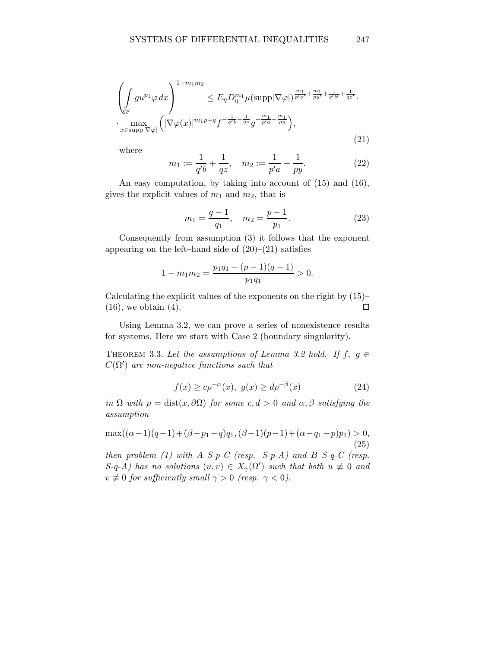$$
\left(\int_{\Omega'} gu^{p_1} \varphi \, dx\right)^{1 - m_1 m_2} \le E_\eta D_\eta^{m_1} \mu(\text{supp} |\nabla \varphi|)^{\frac{m_1}{p' a'} + \frac{m_1}{p y'} + \frac{1}{q' b'} + \frac{1}{q z'}}.
$$
  

$$
\cdot \max_{x \in \text{supp} |\nabla \varphi|} \left( |\nabla \varphi(x)|^{m_1 p + q} f^{-\frac{1}{q' b} - \frac{1}{q z}} g^{-\frac{m_1}{p' a} - \frac{m_1}{p y}} \right),
$$
\n(21)

where

$$
m_1 := \frac{1}{q'b} + \frac{1}{qz}, \quad m_2 := \frac{1}{p'a} + \frac{1}{py}.
$$
 (22)

An easy computation, by taking into account of (15) and (16), gives the explicit values of  $m_1$  and  $m_2$ , that is

$$
m_1 = \frac{q-1}{q_1}, \quad m_2 = \frac{p-1}{p_1}.
$$
 (23)

Consequently from assumption (3) it follows that the exponent appearing on the left–hand side of  $(20)$ – $(21)$  satisfies

$$
1 - m_1 m_2 = \frac{p_1 q_1 - (p - 1)(q - 1)}{p_1 q_1} > 0.
$$

Calculating the explicit values of the exponents on the right by  $(15)$ – (16), we obtain (4).  $\Box$ 

Using Lemma 3.2, we can prove a series of nonexistence results for systems. Here we start with Case 2 (boundary singularity).

THEOREM 3.3. Let the assumptions of Lemma 3.2 hold. If  $f, g \in$  $C(\Omega')$  are non-negative functions such that

$$
f(x) \ge c\rho^{-\alpha}(x), \ g(x) \ge d\rho^{-\beta}(x) \tag{24}
$$

in  $\Omega$  with  $\rho = \text{dist}(x, \partial \Omega)$  for some  $c, d > 0$  and  $\alpha, \beta$  satisfying the assumption

$$
\max((\alpha - 1)(q - 1) + (\beta - p_1 - q)q_1, (\beta - 1)(p - 1) + (\alpha - q_1 - p)p_1) > 0,
$$
\n(25)

then problem  $(1)$  with A S-p-C (resp. S-p-A) and B S-q-C (resp.  $S-q-A$ ) has no solutions  $(u, v) \in X_{\gamma}(\Omega')$  such that both  $u \neq 0$  and  $v \not\equiv 0$  for sufficiently small  $\gamma > 0$  (resp.  $\gamma < 0$ ).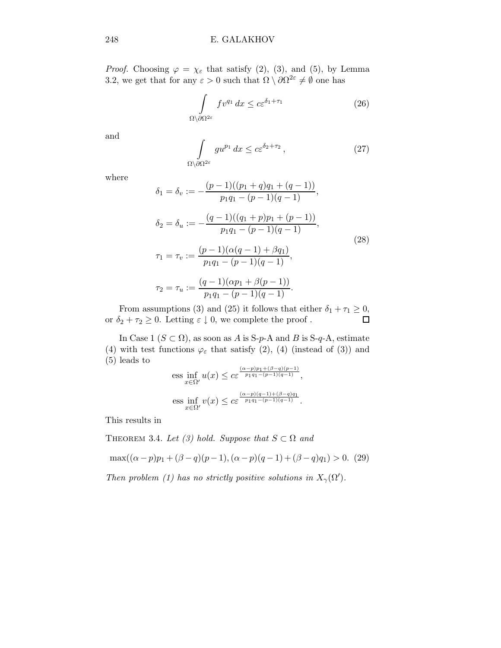*Proof.* Choosing  $\varphi = \chi_{\varepsilon}$  that satisfy (2), (3), and (5), by Lemma 3.2, we get that for any  $\varepsilon > 0$  such that  $\Omega \setminus \partial \Omega^{2\varepsilon} \neq \emptyset$  one has

$$
\int_{\Omega \setminus \partial \Omega^{2\varepsilon}} f v^{q_1} dx \le c \varepsilon^{\delta_1 + \tau_1} \tag{26}
$$

and

$$
\int_{\Omega \setminus \partial \Omega^{2\varepsilon}} g u^{p_1} dx \leq c \varepsilon^{\delta_2 + \tau_2}, \qquad (27)
$$

where

$$
\delta_1 = \delta_v := -\frac{(p-1)((p_1+q)q_1+(q-1))}{p_1q_1-(p-1)(q-1)},
$$
  
\n
$$
\delta_2 = \delta_u := -\frac{(q-1)((q_1+p)p_1+(p-1))}{p_1q_1-(p-1)(q-1)},
$$
  
\n
$$
\tau_1 = \tau_v := \frac{(p-1)(\alpha(q-1)+\beta q_1)}{p_1q_1-(p-1)(q-1)},
$$
  
\n
$$
\tau_2 = \tau_u := \frac{(q-1)(\alpha p_1+\beta(p-1))}{p_1q_1-(p-1)(q-1)}.
$$
\n(28)

From assumptions (3) and (25) it follows that either  $\delta_1 + \tau_1 \ge 0$ ,<br>  $\delta_2 + \tau_2 > 0$ . Letting  $\varepsilon \downarrow 0$ , we complete the proof. or  $\delta_2+\tau_2\geq 0.$  Letting  $\varepsilon\downarrow 0,$  we complete the proof .

In Case 1 ( $S \subset \Omega$ ), as soon as A is S-p-A and B is S-q-A, estimate (4) with test functions  $\varphi_{\varepsilon}$  that satisfy (2), (4) (instead of (3)) and (5) leads to  $(\alpha-p)p_1+(\beta-q)(p-1)$ 

$$
\text{ess} \inf_{x \in \Omega'} u(x) \leq c \varepsilon^{\frac{(\alpha - p)p_1 + (\beta - q)(p - 1)}{p_1 q_1 - (p - 1)(q - 1)}},
$$
\n
$$
\text{ess} \inf_{x \in \Omega'} v(x) \leq c \varepsilon^{\frac{(\alpha - p)(q - 1) + (\beta - q)q_1}{p_1 q_1 - (p - 1)(q - 1)}}.
$$

This results in

THEOREM 3.4. Let (3) hold. Suppose that 
$$
S \subset \Omega
$$
 and  
\n
$$
\max((\alpha - p)p_1 + (\beta - q)(p-1), (\alpha - p)(q-1) + (\beta - q)q_1) > 0.
$$
 (29)

Then problem (1) has no strictly positive solutions in  $X_{\gamma}(\Omega')$ .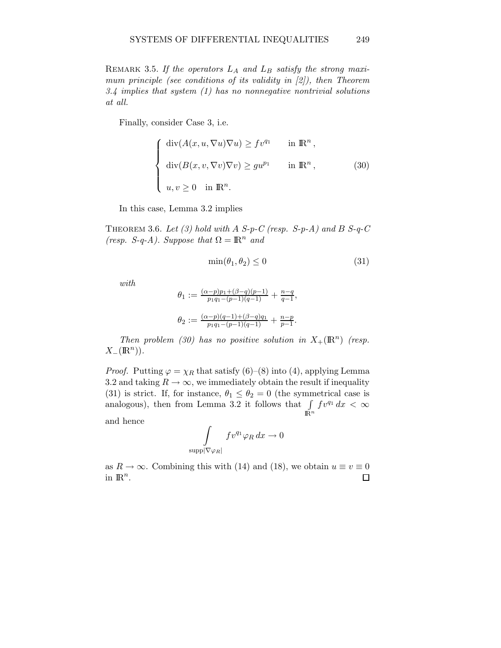REMARK 3.5. If the operators  $L_A$  and  $L_B$  satisfy the strong maximum principle (see conditions of its validity in [2]), then Theorem 3.4 implies that system  $(1)$  has no nonnegative nontrivial solutions at all.

Finally, consider Case 3, i.e.

$$
\begin{cases}\n\operatorname{div}(A(x, u, \nabla u) \nabla u) \ge f v^{q_1} & \text{in } \mathbb{R}^n, \\
\operatorname{div}(B(x, v, \nabla v) \nabla v) \ge g u^{p_1} & \text{in } \mathbb{R}^n, \\
u, v \ge 0 & \text{in } \mathbb{R}^n.\n\end{cases}
$$
\n(30)

In this case, Lemma 3.2 implies

THEOREM 3.6. Let (3) hold with A S-p-C (resp. S-p-A) and B S-q-C (resp. S-q-A). Suppose that  $\Omega = \mathbb{R}^n$  and

$$
\min(\theta_1, \theta_2) \le 0 \tag{31}
$$

with

$$
\theta_1 := \frac{(\alpha - p)p_1 + (\beta - q)(p-1)}{p_1 q_1 - (p-1)(q-1)} + \frac{n-q}{q-1},
$$
  

$$
\theta_2 := \frac{(\alpha - p)(q-1) + (\beta - q)q_1}{p_1 q_1 - (p-1)(q-1)} + \frac{n-p}{p-1}.
$$

Then problem (30) has no positive solution in  $X_+(\mathbb{R}^n)$  (resp.  $X_{-}(\mathbb{R}^n)$ ).

*Proof.* Putting  $\varphi = \chi_R$  that satisfy (6)–(8) into (4), applying Lemma 3.2 and taking  $R \to \infty$ , we immediately obtain the result if inequality (31) is strict. If, for instance,  $\theta_1 \leq \theta_2 = 0$  (the symmetrical case is analogous), then from Lemma 3.2 it follows that  $\int$  $\int_{\mathbb{R}^n} f v^{q_1} dx < \infty$ and hence

$$
\int\limits_{\text{app}|\nabla \varphi_R|}fv^{q_1}\varphi_R\,dx\to 0
$$

 $\rm{su}$ 

as  $R \to \infty$ . Combining this with (14) and (18), we obtain  $u \equiv v \equiv 0$  in  $\mathbb{R}^n$ . in  $\mathbb{R}^n$ .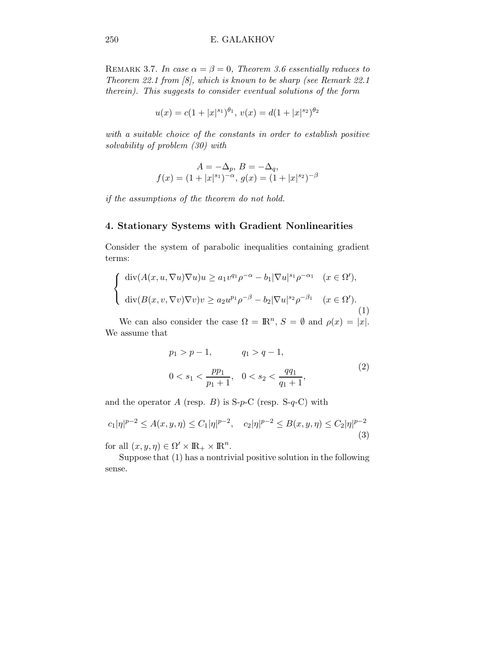REMARK 3.7. In case  $\alpha = \beta = 0$ , Theorem 3.6 essentially reduces to Theorem 22.1 from [8], which is known to be sharp (see Remark 22.1 therein). This suggests to consider eventual solutions of the form

$$
u(x) = c(1+|x|^{s_1})^{\theta_1}, \, v(x) = d(1+|x|^{s_2})^{\theta_2}
$$

with a suitable choice of the constants in order to establish positive solvability of problem (30) with

$$
A = -\Delta_p, B = -\Delta_q,
$$
  

$$
f(x) = (1 + |x|^{s_1})^{-\alpha}, g(x) = (1 + |x|^{s_2})^{-\beta}
$$

if the assumptions of the theorem do not hold.

### 4. Stationary Systems with Gradient Nonlinearities

Consider the system of parabolic inequalities containing gradient terms:

$$
\begin{cases}\n\operatorname{div}(A(x, u, \nabla u)\nabla u)u \ge a_1 v^{q_1} \rho^{-\alpha} - b_1 |\nabla u|^{s_1} \rho^{-\alpha_1} & (x \in \Omega'), \\
\operatorname{div}(B(x, v, \nabla v)\nabla v)v \ge a_2 u^{p_1} \rho^{-\beta} - b_2 |\nabla u|^{s_2} \rho^{-\beta_1} & (x \in \Omega').\n\end{cases}
$$
\n(1)

We can also consider the case  $\Omega = \mathbb{R}^n$ ,  $S = \emptyset$  and  $\rho(x) = |x|$ . We assume that

$$
p_1 > p - 1, \t q_1 > q - 1,
$$
  
\n
$$
0 < s_1 < \frac{pp_1}{p_1 + 1}, \quad 0 < s_2 < \frac{qq_1}{q_1 + 1}, \t(2)
$$

and the operator A (resp. B) is  $S-p-C$  (resp.  $S-q-C$ ) with

$$
c_1|\eta|^{p-2} \le A(x, y, \eta) \le C_1|\eta|^{p-2}, \quad c_2|\eta|^{p-2} \le B(x, y, \eta) \le C_2|\eta|^{p-2}
$$
\n(3)

for all  $(x, y, \eta) \in \Omega' \times \mathbb{R}_+ \times \mathbb{R}^n$ .

Suppose that (1) has a nontrivial positive solution in the following sense.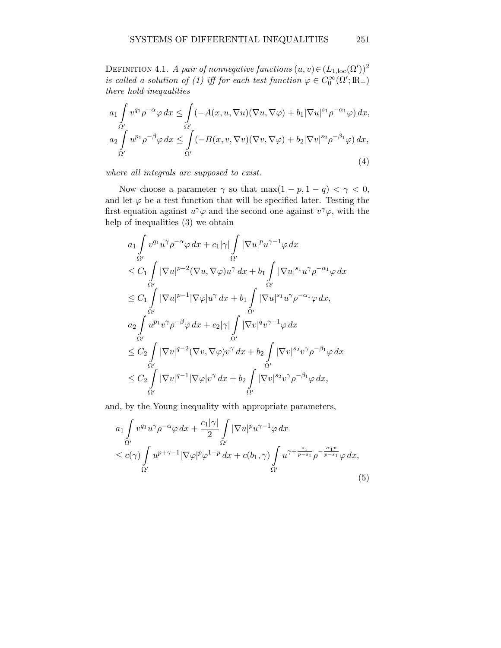DEFINITION 4.1. A pair of nonnegative functions  $(u, v) \in (L_{1,\text{loc}}(\Omega'))^2$ is called a solution of (1) iff for each test function  $\varphi \in C_0^{\infty}(\Omega'; \mathbb{R}_+)$ there hold inequalities

$$
a_1 \int_{\Omega'} v^{q_1} \rho^{-\alpha} \varphi \, dx \le \int_{\Omega'} (-A(x, u, \nabla u)(\nabla u, \nabla \varphi) + b_1 |\nabla u|^{s_1} \rho^{-\alpha_1} \varphi) \, dx,
$$
  
\n
$$
a_2 \int_{\Omega'} u^{p_1} \rho^{-\beta} \varphi \, dx \le \int_{\Omega'} (-B(x, v, \nabla v)(\nabla v, \nabla \varphi) + b_2 |\nabla v|^{s_2} \rho^{-\beta_1} \varphi) \, dx,
$$
\n(4)

where all integrals are supposed to exist.

Now choose a parameter  $\gamma$  so that  $\max(1-p, 1-q) < \gamma < 0$ , and let  $\varphi$  be a test function that will be specified later. Testing the first equation against  $u^{\gamma}\varphi$  and the second one against  $v^{\gamma}\varphi$ , with the help of inequalities (3) we obtain

$$
a_1 \int_{\Omega'} v^{q_1} u^{\gamma} \rho^{-\alpha} \varphi \, dx + c_1 |\gamma| \int_{\Omega'} |\nabla u|^p u^{\gamma-1} \varphi \, dx
$$
  
\n
$$
\leq C_1 \int_{\Omega'} |\nabla u|^{p-2} (\nabla u, \nabla \varphi) u^{\gamma} \, dx + b_1 \int_{\Omega'} |\nabla u|^{s_1} u^{\gamma} \rho^{-\alpha_1} \varphi \, dx
$$
  
\n
$$
\leq C_1 \int_{\Omega'} |\nabla u|^{p-1} |\nabla \varphi| u^{\gamma} \, dx + b_1 \int_{\Omega'} |\nabla u|^{s_1} u^{\gamma} \rho^{-\alpha_1} \varphi \, dx,
$$
  
\n
$$
a_2 \int_{\Omega'} u^{p_1} v^{\gamma} \rho^{-\beta} \varphi \, dx + c_2 |\gamma| \int_{\Omega'} |\nabla v|^{q} v^{\gamma-1} \varphi \, dx
$$
  
\n
$$
\leq C_2 \int_{\Omega'} |\nabla v|^{q-2} (\nabla v, \nabla \varphi) v^{\gamma} \, dx + b_2 \int_{\Omega'} |\nabla v|^{s_2} v^{\gamma} \rho^{-\beta_1} \varphi \, dx,
$$
  
\n
$$
\leq C_2 \int_{\Omega'} |\nabla v|^{q-1} |\nabla \varphi| v^{\gamma} \, dx + b_2 \int_{\Omega'} |\nabla v|^{s_2} v^{\gamma} \rho^{-\beta_1} \varphi \, dx,
$$

and, by the Young inequality with appropriate parameters,

$$
a_1 \int_{\Omega'} v^{q_1} u^{\gamma} \rho^{-\alpha} \varphi \, dx + \frac{c_1 |\gamma|}{2} \int_{\Omega'} |\nabla u|^p u^{\gamma-1} \varphi \, dx
$$
  
\n
$$
\leq c(\gamma) \int_{\Omega'} u^{p+\gamma-1} |\nabla \varphi|^p \varphi^{1-p} \, dx + c(b_1, \gamma) \int_{\Omega'} u^{\gamma + \frac{s_1}{p-s_1}} \rho^{-\frac{\alpha_1 p}{p-s_1}} \varphi \, dx,
$$
\n(5)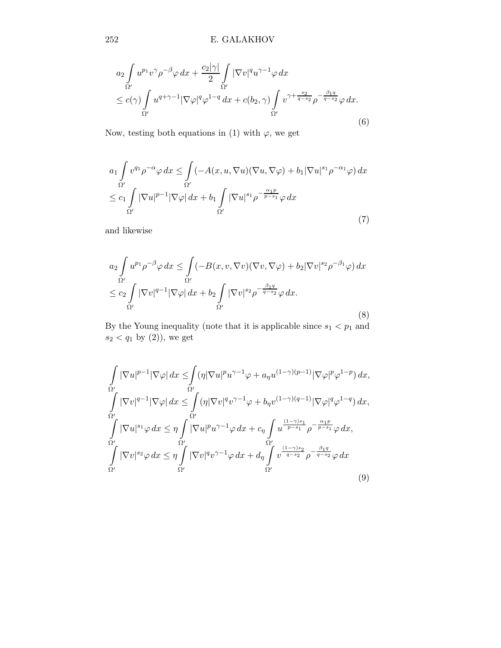$$
a_2 \int_{\Omega'} u^{p_1} v^{\gamma} \rho^{-\beta} \varphi \, dx + \frac{c_2 |\gamma|}{2} \int_{\Omega'} |\nabla v|^q u^{\gamma-1} \varphi \, dx
$$
  
\n
$$
\leq c(\gamma) \int_{\Omega'} u^{q+\gamma-1} |\nabla \varphi|^q \varphi^{1-q} \, dx + c(b_2, \gamma) \int_{\Omega'} v^{\gamma+\frac{s_2}{q-s_2}} \rho^{-\frac{\beta_1 q}{q-s_2}} \varphi \, dx.
$$
\n(6)

Now, testing both equations in (1) with  $\varphi,$  we get

$$
a_1 \int_{\Omega'} v^{q_1} \rho^{-\alpha} \varphi \, dx \le \int_{\Omega'} \left( -A(x, u, \nabla u)(\nabla u, \nabla \varphi) + b_1 |\nabla u|^{s_1} \rho^{-\alpha_1} \varphi \right) dx
$$
  

$$
\le c_1 \int_{\Omega'} |\nabla u|^{p-1} |\nabla \varphi| \, dx + b_1 \int_{\Omega'} |\nabla u|^{s_1} \rho^{-\frac{\alpha_1 p}{p-s_1}} \varphi \, dx \tag{7}
$$

and likewise

$$
a_2 \int_{\Omega'} u^{p_1} \rho^{-\beta} \varphi \, dx \le \int_{\Omega'} (-B(x, v, \nabla v)(\nabla v, \nabla \varphi) + b_2 |\nabla v|^{s_2} \rho^{-\beta_1} \varphi) \, dx
$$
  

$$
\le c_2 \int_{\Omega'} |\nabla v|^{q-1} |\nabla \varphi| \, dx + b_2 \int_{\Omega'} |\nabla v|^{s_2} \rho^{-\frac{\beta_1 q}{q-s_2}} \varphi \, dx.
$$
 (8)

By the Young inequality (note that it is applicable since  $s_1 < p_1$  and  $s_2 < q_1$  by (2)), we get

$$
\int_{\Omega'} |\nabla u|^{p-1} |\nabla \varphi| dx \leq \int_{\Omega'} (\eta |\nabla u|^p u^{\gamma-1} \varphi + a_\eta u^{(1-\gamma)(p-1)} |\nabla \varphi|^p \varphi^{1-p}) dx,\n\int_{\Omega'} |\nabla v|^{q-1} |\nabla \varphi| dx \leq \int_{\Omega'} (\eta |\nabla v|^q v^{\gamma-1} \varphi + b_\eta v^{(1-\gamma)(q-1)} |\nabla \varphi|^q \varphi^{1-q}) dx,\n\int_{\Omega'} |\nabla u|^{s_1} \varphi dx \leq \eta \int_{\Omega'} |\nabla u|^p u^{\gamma-1} \varphi dx + c_\eta \int_{\Omega'} u^{\frac{(1-\gamma)s_1}{p-s_1}} \rho^{-\frac{\alpha_1 p}{p-s_1}} \varphi dx,\n\int_{\Omega'} |\nabla v|^{s_2} \varphi dx \leq \eta \int_{\Omega'} |\nabla v|^q v^{\gamma-1} \varphi dx + d_\eta \int_{\Omega'} v^{\frac{(1-\gamma)s_2}{q-s_2}} \rho^{-\frac{\beta_1 q}{q-s_2}} \varphi dx\n\tag{9}
$$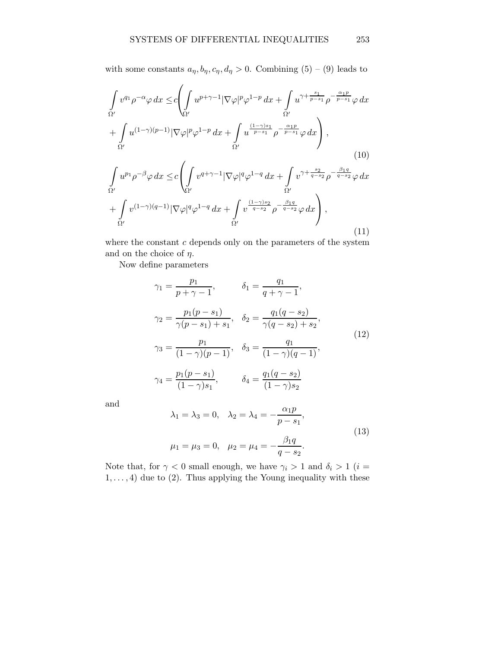with some constants  $a_{\eta}, b_{\eta}, c_{\eta}, d_{\eta} > 0$ . Combining  $(5) - (9)$  leads to

$$
\int_{\Omega'} v^{q_1} \rho^{-\alpha} \varphi \, dx \leq c \left( \int_{\Omega'} u^{p+\gamma-1} |\nabla \varphi|^p \varphi^{1-p} \, dx + \int_{\Omega'} u^{\gamma + \frac{s_1}{p-s_1}} \rho^{-\frac{\alpha_1 p}{p-s_1}} \varphi \, dx \right) + \int_{\Omega'} u^{(1-\gamma)(p-1)} |\nabla \varphi|^p \varphi^{1-p} \, dx + \int_{\Omega'} u^{\frac{(1-\gamma)s_1}{p-s_1}} \rho^{-\frac{\alpha_1 p}{p-s_1}} \varphi \, dx \right),
$$
\n(10)

$$
\int_{\Omega'} u^{p_1} \rho^{-\beta} \varphi \, dx \leq c \left( \int_{\Omega'} v^{q+\gamma-1} |\nabla \varphi|^q \varphi^{1-q} \, dx + \int_{\Omega'} v^{\gamma+\frac{s_2}{q-s_2}} \rho^{-\frac{\beta_1 q}{q-s_2}} \varphi \, dx \right. \\
\left. + \int_{\Omega'} v^{(1-\gamma)(q-1)} |\nabla \varphi|^q \varphi^{1-q} \, dx + \int_{\Omega'} v^{\frac{(1-\gamma)s_2}{q-s_2}} \rho^{-\frac{\beta_1 q}{q-s_2}} \varphi \, dx \right),\tag{11}
$$

where the constant  $c$  depends only on the parameters of the system and on the choice of  $\eta$ .

Now define parameters

$$
\gamma_1 = \frac{p_1}{p + \gamma - 1}, \qquad \delta_1 = \frac{q_1}{q + \gamma - 1},
$$
  
\n
$$
\gamma_2 = \frac{p_1(p - s_1)}{\gamma(p - s_1) + s_1}, \quad \delta_2 = \frac{q_1(q - s_2)}{\gamma(q - s_2) + s_2},
$$
  
\n
$$
\gamma_3 = \frac{p_1}{(1 - \gamma)(p - 1)}, \quad \delta_3 = \frac{q_1}{(1 - \gamma)(q - 1)},
$$
  
\n
$$
\gamma_4 = \frac{p_1(p - s_1)}{(1 - \gamma)s_1}, \qquad \delta_4 = \frac{q_1(q - s_2)}{(1 - \gamma)s_2}
$$
\n(12)

and

$$
\lambda_1 = \lambda_3 = 0, \quad \lambda_2 = \lambda_4 = -\frac{\alpha_1 p}{p - s_1},
$$
  

$$
\mu_1 = \mu_3 = 0, \quad \mu_2 = \mu_4 = -\frac{\beta_1 q}{q - s_2}.
$$
 (13)

Note that, for  $\gamma < 0$  small enough, we have  $\gamma_i > 1$  and  $\delta_i > 1$  (*i* =  $1, \ldots, 4$ ) due to (2). Thus applying the Young inequality with these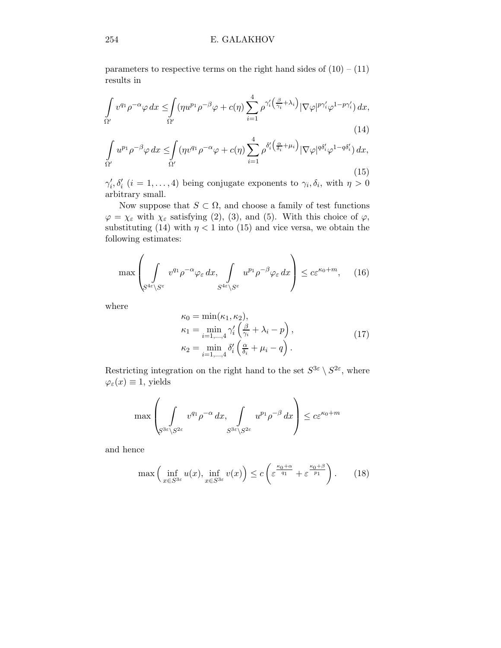#### 254 E. GALAKHOV

parameters to respective terms on the right hand sides of  $(10) - (11)$ results in

$$
\int_{\Omega'} v^{q_1} \rho^{-\alpha} \varphi \, dx \leq \int_{\Omega'} (\eta u^{p_1} \rho^{-\beta} \varphi + c(\eta) \sum_{i=1}^4 \rho^{\gamma_i'} \left(\frac{\beta}{\gamma_i} + \lambda_i\right) |\nabla \varphi|^{p \gamma_i'} \varphi^{1-p \gamma_i'} ) \, dx,
$$
\n(14)

$$
\int_{\Omega'} u^{p_1} \rho^{-\beta} \varphi \, dx \leq \int_{\Omega'} (\eta v^{q_1} \rho^{-\alpha} \varphi + c(\eta) \sum_{i=1}^4 \rho^{\delta_i'} \left(\frac{\alpha}{\delta_i} + \mu_i\right) |\nabla \varphi|^{q \delta_i'} \varphi^{1-q \delta_i'} ) \, dx,
$$
\n(15)

 $\gamma'_i, \delta'_i$  ( $i = 1, \ldots, 4$ ) being conjugate exponents to  $\gamma_i, \delta_i$ , with  $\eta > 0$ arbitrary small.

Now suppose that  $S \subset \Omega$ , and choose a family of test functions  $\varphi = \chi_{\varepsilon}$  with  $\chi_{\varepsilon}$  satisfying (2), (3), and (5). With this choice of  $\varphi$ , substituting (14) with  $\eta < 1$  into (15) and vice versa, we obtain the following estimates:

$$
\max \left( \int_{S^{4\varepsilon} \setminus S^{\varepsilon}} v^{q_1} \rho^{-\alpha} \varphi_{\varepsilon} \, dx, \int_{S^{4\varepsilon} \setminus S^{\varepsilon}} u^{p_1} \rho^{-\beta} \varphi_{\varepsilon} \, dx \right) \le c \varepsilon^{\kappa_0 + m}, \quad (16)
$$

where

$$
\kappa_0 = \min(\kappa_1, \kappa_2),
$$
  
\n
$$
\kappa_1 = \min_{i=1,\dots,4} \gamma'_i \left( \frac{\beta}{\gamma_i} + \lambda_i - p \right),
$$
  
\n
$$
\kappa_2 = \min_{i=1,\dots,4} \delta'_i \left( \frac{\alpha}{\delta_i} + \mu_i - q \right).
$$
\n(17)

Restricting integration on the right hand to the set  $S^{3\varepsilon} \setminus S^{2\varepsilon}$ , where  $\varphi_{\varepsilon}(x) \equiv 1$ , yields

$$
\max \left( \int_{S^{3\varepsilon} \setminus S^{2\varepsilon}} v^{q_1} \rho^{-\alpha} dx, \int_{S^{3\varepsilon} \setminus S^{2\varepsilon}} u^{p_1} \rho^{-\beta} dx \right) \le c \varepsilon^{\kappa_0 + m}
$$

and hence

$$
\max\left(\inf_{x\in S^{3\varepsilon}} u(x), \inf_{x\in S^{3\varepsilon}} v(x)\right) \le c\left(\varepsilon^{\frac{\kappa_0+\alpha}{q_1}} + \varepsilon^{\frac{\kappa_0+\beta}{p_1}}\right). \tag{18}
$$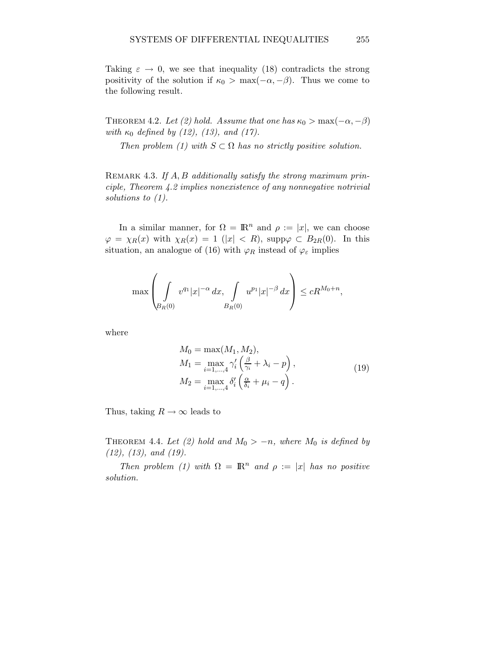Taking  $\varepsilon \to 0$ , we see that inequality (18) contradicts the strong positivity of the solution if  $\kappa_0 > \max(-\alpha, -\beta)$ . Thus we come to the following result.

THEOREM 4.2. Let (2) hold. Assume that one has  $\kappa_0 > \max(-\alpha, -\beta)$ with  $\kappa_0$  defined by (12), (13), and (17).

Then problem (1) with  $S \subset \Omega$  has no strictly positive solution.

REMARK 4.3. If  $A, B$  additionally satisfy the strong maximum principle, Theorem 4.2 implies nonexistence of any nonnegative notrivial solutions to  $(1)$ .

In a similar manner, for  $\Omega = \mathbb{R}^n$  and  $\rho := |x|$ , we can choose  $\varphi = \chi_R(x)$  with  $\chi_R(x) = 1$  (|x| < R), supp $\varphi \subset B_{2R}(0)$ . In this situation, an analogue of (16) with  $\varphi_R$  instead of  $\varphi_\varepsilon$  implies

$$
\max \left( \int\limits_{B_R(0)} v^{q_1} |x|^{-\alpha} dx, \int\limits_{B_R(0)} u^{p_1} |x|^{-\beta} dx \right) \le c R^{M_0 + n},
$$

where

$$
M_0 = \max(M_1, M_2),
$$
  
\n
$$
M_1 = \max_{i=1,\dots,4} \gamma'_i \left(\frac{\beta}{\gamma_i} + \lambda_i - p\right),
$$
  
\n
$$
M_2 = \max_{i=1,\dots,4} \delta'_i \left(\frac{\alpha}{\delta_i} + \mu_i - q\right).
$$
\n(19)

Thus, taking  $R \to \infty$  leads to

THEOREM 4.4. Let (2) hold and  $M_0 > -n$ , where  $M_0$  is defined by (12), (13), and (19).

Then problem (1) with  $\Omega = \mathbb{R}^n$  and  $\rho := |x|$  has no positive solution.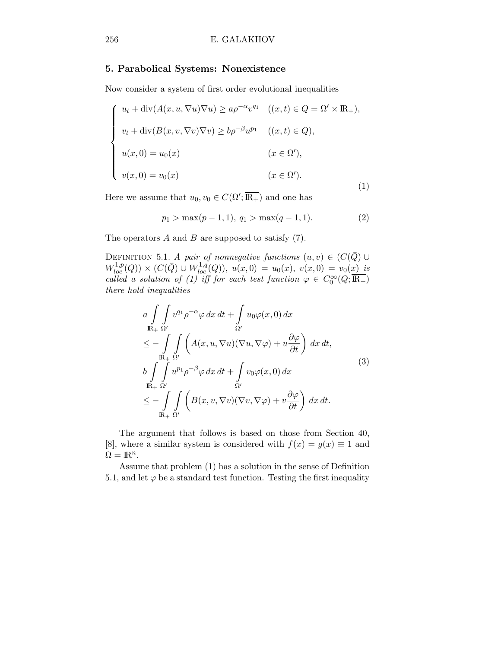#### 5. Parabolical Systems: Nonexistence

Now consider a system of first order evolutional inequalities

$$
\begin{cases}\nu_t + \operatorname{div}(A(x, u, \nabla u) \nabla u) \ge a \rho^{-\alpha} v^{q_1} & ((x, t) \in Q = \Omega' \times \mathbb{R}_+), \\
v_t + \operatorname{div}(B(x, v, \nabla v) \nabla v) \ge b \rho^{-\beta} u^{p_1} & ((x, t) \in Q), \\
u(x, 0) = u_0(x) & (x \in \Omega'), \\
v(x, 0) = v_0(x) & (x \in \Omega').\n\end{cases}
$$
\n(1)

Here we assume that  $u_0, v_0 \in C(\Omega'; \overline{\mathbb{R}_+})$  and one has

$$
p_1 > \max(p-1, 1), q_1 > \max(q-1, 1). \tag{2}
$$

The operators  $A$  and  $B$  are supposed to satisfy  $(7)$ .

DEFINITION 5.1. A pair of nonnegative functions  $(u, v) \in (C(\overline{Q}) \cup$  $W^{1,p}_{loc}(Q)) \times (C(\bar{Q}) \cup W^{1,q}_{loc}(Q)), u(x,0) = u_0(x), v(x,0) = v_0(x)$  is called a solution of (1) iff for each test function  $\varphi \in C_0^{\infty}(Q; \overline{\mathbb{R}_+})$ there hold inequalities

$$
a \int_{\mathbb{R}_+} \int_{\Omega'} v^{q_1} \rho^{-\alpha} \varphi \, dx \, dt + \int_{\Omega'} u_0 \varphi(x,0) \, dx
$$
  
\n
$$
\leq - \int_{\mathbb{R}_+} \int_{\Omega'} \left( A(x, u, \nabla u) (\nabla u, \nabla \varphi) + u \frac{\partial \varphi}{\partial t} \right) \, dx \, dt,
$$
  
\n
$$
b \int_{\mathbb{R}_+} \int_{\Omega'} u^{p_1} \rho^{-\beta} \varphi \, dx \, dt + \int_{\Omega'} v_0 \varphi(x,0) \, dx
$$
  
\n
$$
\leq - \int_{\mathbb{R}_+} \int_{\Omega'} \left( B(x, v, \nabla v) (\nabla v, \nabla \varphi) + v \frac{\partial \varphi}{\partial t} \right) \, dx \, dt.
$$
\n(3)

The argument that follows is based on those from Section 40, [8], where a similar system is considered with  $f(x) = g(x) \equiv 1$  and  $\Omega = \mathbb{R}^n$ .

Assume that problem (1) has a solution in the sense of Definition 5.1, and let  $\varphi$  be a standard test function. Testing the first inequality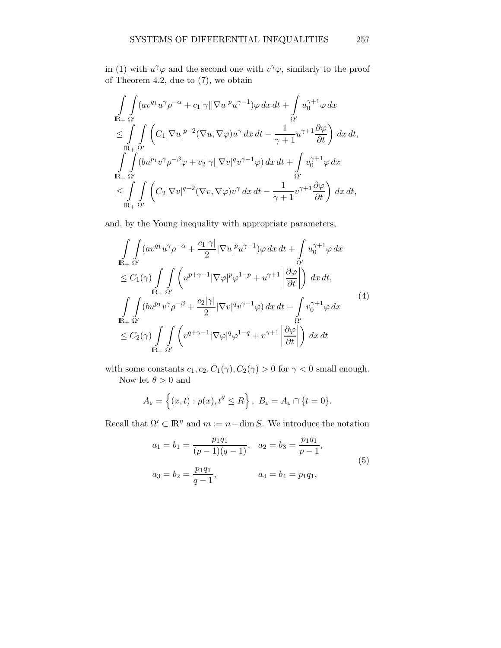in (1) with  $u^{\gamma}\varphi$  and the second one with  $v^{\gamma}\varphi$ , similarly to the proof of Theorem 4.2, due to (7), we obtain

$$
\int_{\mathbb{R}_+} \int_{\Omega'} (av^{q_1} u^{\gamma} \rho^{-\alpha} + c_1 |\gamma| |\nabla u|^p u^{\gamma-1}) \varphi \, dx \, dt + \int_{\Omega'} u_0^{\gamma+1} \varphi \, dx \n\leq \int_{\mathbb{R}_+} \int_{\Omega'} \left( C_1 |\nabla u|^{p-2} (\nabla u, \nabla \varphi) u^{\gamma} \, dx \, dt - \frac{1}{\gamma+1} u^{\gamma+1} \frac{\partial \varphi}{\partial t} \right) \, dx \, dt, \n\int_{\mathbb{R}_+} \int_{\Omega'} (bu^{p_1} v^{\gamma} \rho^{-\beta} \varphi + c_2 |\gamma| |\nabla v|^q v^{\gamma-1} \varphi) \, dx \, dt + \int_{\Omega'} v_0^{\gamma+1} \varphi \, dx \n\leq \int_{\mathbb{R}_+} \int_{\Omega'} \left( C_2 |\nabla v|^{q-2} (\nabla v, \nabla \varphi) v^{\gamma} \, dx \, dt - \frac{1}{\gamma+1} v^{\gamma+1} \frac{\partial \varphi}{\partial t} \right) \, dx \, dt,
$$

and, by the Young inequality with appropriate parameters,

$$
\int_{\mathbb{R}_+} \int_{\Omega'} (av^{q_1} u^{\gamma} \rho^{-\alpha} + \frac{c_1 |\gamma|}{2} |\nabla u|^{p} u^{\gamma-1}) \varphi \, dx \, dt + \int_{\Omega'} u_0^{\gamma+1} \varphi \, dx
$$
\n
$$
\leq C_1(\gamma) \int_{\mathbb{R}_+} \int_{\Omega'} \left( u^{p+\gamma-1} |\nabla \varphi|^{p} \varphi^{1-p} + u^{\gamma+1} \left| \frac{\partial \varphi}{\partial t} \right| \right) \, dx \, dt,
$$
\n
$$
\int_{\mathbb{R}_+} \int_{\Omega'} (bu^{p_1} v^{\gamma} \rho^{-\beta} + \frac{c_2 |\gamma|}{2} |\nabla v|^{q} v^{\gamma-1} \varphi) \, dx \, dt + \int_{\Omega'} v_0^{\gamma+1} \varphi \, dx
$$
\n
$$
\leq C_2(\gamma) \int_{\mathbb{R}_+} \int_{\Omega'} \left( v^{q+\gamma-1} |\nabla \varphi|^{q} \varphi^{1-q} + v^{\gamma+1} \left| \frac{\partial \varphi}{\partial t} \right| \right) \, dx \, dt
$$
\n(4)

with some constants  $c_1, c_2, C_1(\gamma), C_2(\gamma) > 0$  for  $\gamma < 0$  small enough. Now let  $\theta > 0$  and

$$
A_{\varepsilon} = \left\{ (x, t) : \rho(x), t^{\theta} \le R \right\}, \ B_{\varepsilon} = A_{\varepsilon} \cap \{ t = 0 \}.
$$

Recall that  $\Omega' \subset \mathbb{R}^n$  and  $m := n - \dim S$ . We introduce the notation

$$
a_1 = b_1 = \frac{p_1 q_1}{(p-1)(q-1)}, \quad a_2 = b_3 = \frac{p_1 q_1}{p-1},
$$
  
\n
$$
a_3 = b_2 = \frac{p_1 q_1}{q-1}, \qquad a_4 = b_4 = p_1 q_1,
$$
\n(5)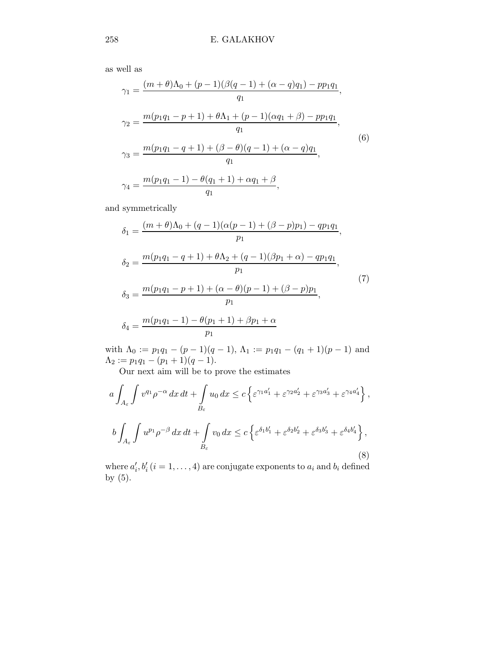as well as

$$
\gamma_1 = \frac{(m+\theta)\Lambda_0 + (p-1)(\beta(q-1) + (\alpha - q)q_1) - pp_1q_1}{q_1},
$$
  
\n
$$
\gamma_2 = \frac{m(p_1q_1 - p + 1) + \theta\Lambda_1 + (p-1)(\alpha q_1 + \beta) - pp_1q_1}{q_1},
$$
  
\n
$$
\gamma_3 = \frac{m(p_1q_1 - q + 1) + (\beta - \theta)(q - 1) + (\alpha - q)q_1}{q_1},
$$
  
\n
$$
\gamma_4 = \frac{m(p_1q_1 - 1) - \theta(q_1 + 1) + \alpha q_1 + \beta}{q_1},
$$
  
\n(6)

and symmetrically

$$
\delta_1 = \frac{(m+\theta)\Lambda_0 + (q-1)(\alpha(p-1) + (\beta - p)p_1) - qp_1q_1}{p_1},
$$
  
\n
$$
\delta_2 = \frac{m(p_1q_1 - q + 1) + \theta\Lambda_2 + (q-1)(\beta p_1 + \alpha) - qp_1q_1}{p_1},
$$
  
\n
$$
\delta_3 = \frac{m(p_1q_1 - p + 1) + (\alpha - \theta)(p-1) + (\beta - p)p_1}{p_1},
$$
  
\n
$$
\delta_4 = \frac{m(p_1q_1 - 1) - \theta(p_1 + 1) + \beta p_1 + \alpha}{p_1}
$$
\n(7)

with  $\Lambda_0 := p_1q_1 - (p-1)(q-1)$ ,  $\Lambda_1 := p_1q_1 - (q_1+1)(p-1)$  and  $\Lambda_2 := p_1q_1 - (p_1 + 1)(q - 1).$ 

Our next aim will be to prove the estimates

$$
a \int_{A_{\varepsilon}} \int v^{q_1} \rho^{-\alpha} dx dt + \int_{B_{\varepsilon}} u_0 dx \le c \left\{ \varepsilon^{\gamma_1 a'_1} + \varepsilon^{\gamma_2 a'_2} + \varepsilon^{\gamma_3 a'_3} + \varepsilon^{\gamma_4 a'_4} \right\},
$$
  

$$
b \int_{A_{\varepsilon}} \int u^{p_1} \rho^{-\beta} dx dt + \int_{B_{\varepsilon}} v_0 dx \le c \left\{ \varepsilon^{\delta_1 b'_1} + \varepsilon^{\delta_2 b'_2} + \varepsilon^{\delta_3 b'_3} + \varepsilon^{\delta_4 b'_4} \right\},
$$
  
(8)

where  $a'_i, b'_i$   $(i = 1, ..., 4)$  are conjugate exponents to  $a_i$  and  $b_i$  defined by (5).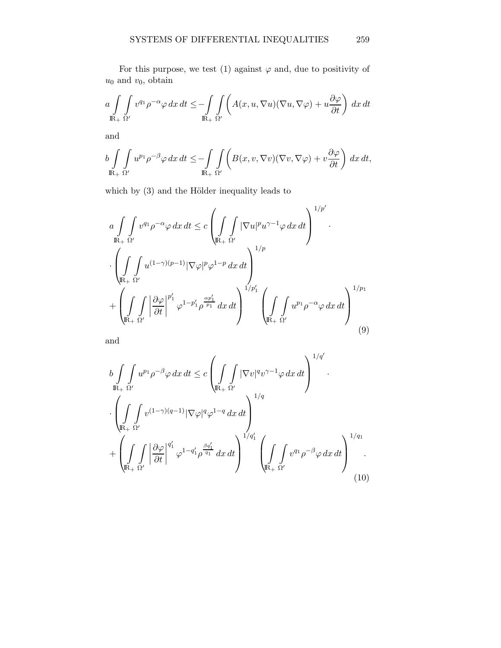For this purpose, we test (1) against  $\varphi$  and, due to positivity of  $u_0$  and  $v_0$ , obtain

$$
a \int_{\mathbb{R}_+} \int_{\Omega'} v^{q_1} \rho^{-\alpha} \varphi \, dx \, dt \le -\int_{\mathbb{R}_+} \int_{\Omega'} \left( A(x, u, \nabla u) (\nabla u, \nabla \varphi) + u \frac{\partial \varphi}{\partial t} \right) \, dx \, dt
$$

and

$$
b \int_{\mathbb{R}_+} \int_{\Omega'} u^{p_1} \rho^{-\beta} \varphi \, dx \, dt \le -\int_{\mathbb{R}_+} \int_{\Omega'} \left( B(x, v, \nabla v)(\nabla v, \nabla \varphi) + v \frac{\partial \varphi}{\partial t} \right) \, dx \, dt,
$$

which by  $(3)$  and the Hölder inequality leads to

$$
a \int_{\mathbb{R}_+} \int v^{q_1} \rho^{-\alpha} \varphi \, dx \, dt \le c \left( \int_{\mathbb{R}_+} \int |\nabla u|^p u^{\gamma-1} \varphi \, dx \, dt \right)^{1/p'}
$$

$$
\cdot \left( \int_{\mathbb{R}_+} \int_{\Omega'} u^{(1-\gamma)(p-1)} |\nabla \varphi|^p \varphi^{1-p} \, dx \, dt \right)^{1/p}
$$

$$
+ \left( \int_{\mathbb{R}_+} \int_{\Omega'} \left| \frac{\partial \varphi}{\partial t} \right|^{p'_1} \varphi^{1-p'_1} \rho^{\frac{\alpha p'_1}{p_1}} \, dx \, dt \right)^{1/p'_1} \left( \int_{\mathbb{R}_+} \int_{\Omega'} u^{p_1} \rho^{-\alpha} \varphi \, dx \, dt \right)^{1/p_1}
$$

$$
(9)
$$

and

$$
b \int_{\mathbb{R}_{+}} \int u^{p_{1}} \rho^{-\beta} \varphi \, dx \, dt \leq c \left( \int_{\mathbb{R}_{+}} \int |\nabla v|^{q} v^{\gamma-1} \varphi \, dx \, dt \right)^{1/q'}.
$$

$$
\cdot \left( \int_{\mathbb{R}_{+}} \int v^{(1-\gamma)(q-1)} |\nabla \varphi|^{q} \varphi^{1-q} \, dx \, dt \right)^{1/q} + \left( \int_{\mathbb{R}_{+}} \int v^{(1-\gamma)(q-1)} |\varphi|^{q'} \varphi^{1-q'_{1}} \rho^{\frac{q'_{1}}{q_{1}}} \, dx \, dt \right)^{1/q'_{1}} \left( \int_{\mathbb{R}_{+}} \int v^{q_{1}} \rho^{-\beta} \varphi \, dx \, dt \right)^{1/q_{1}}.
$$
(10)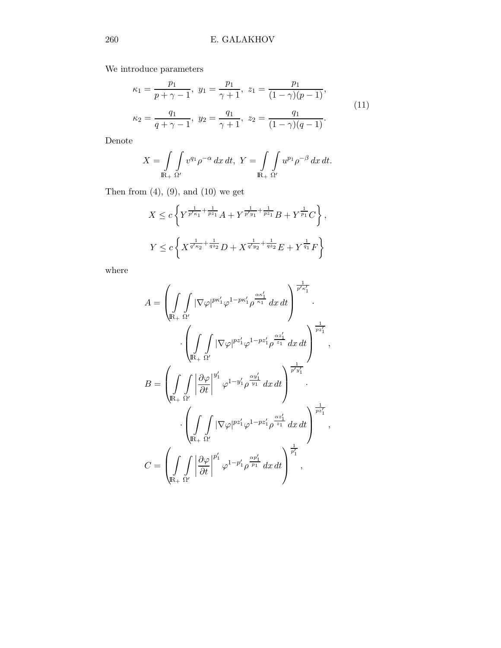We introduce parameters

$$
\kappa_1 = \frac{p_1}{p + \gamma - 1}, \ y_1 = \frac{p_1}{\gamma + 1}, \ z_1 = \frac{p_1}{(1 - \gamma)(p - 1)},
$$
  

$$
\kappa_2 = \frac{q_1}{q + \gamma - 1}, \ y_2 = \frac{q_1}{\gamma + 1}, \ z_2 = \frac{q_1}{(1 - \gamma)(q - 1)}.
$$
 (11)

Denote

$$
X = \int\limits_{\mathbb{R}_+} \int\limits_{\Omega'} v^{q_1} \rho^{-\alpha} dx dt, \ Y = \int\limits_{\mathbb{R}_+} \int\limits_{\Omega'} u^{p_1} \rho^{-\beta} dx dt.
$$

Then from  $(4)$ ,  $(9)$ , and  $(10)$  we get

$$
X \le c \left\{ Y^{\frac{1}{p' \kappa_1} + \frac{1}{p z_1}} A + Y^{\frac{1}{p' y_1} + \frac{1}{p z_1}} B + Y^{\frac{1}{p_1}} C \right\},
$$
  

$$
Y \le c \left\{ X^{\frac{1}{q' \kappa_2} + \frac{1}{q z_2}} D + X^{\frac{1}{q' y_2} + \frac{1}{q z_2}} E + Y^{\frac{1}{q_1}} F \right\}
$$

where

$$
A = \left(\int_{\mathbb{R}_+} \int_{\Omega'} |\nabla \varphi|^{p\kappa'_1} \varphi^{1-p\kappa'_1} \rho^{\frac{\alpha\kappa'_1}{\kappa_1}} dx dt\right)^{\frac{1}{p'\kappa'_1}}.
$$

$$
\cdot \left(\int_{\mathbb{R}_+} \int_{\Omega'} |\nabla \varphi|^{p z'_1} \varphi^{1-p z'_1} \rho^{\frac{\alpha z'_1}{z_1}} dx dt\right)^{\frac{1}{p z'_1}},
$$

$$
B = \left(\int_{\mathbb{R}_+} \int_{\Omega'} |\frac{\partial \varphi}{\partial t}|^{y'_1} \varphi^{1-y'_1} \rho^{\frac{\alpha y'_1}{y_1}} dx dt\right)^{\frac{1}{p'y'_1}}.
$$

$$
\cdot \left(\int_{\mathbb{R}_+} \int_{\Omega'} |\nabla \varphi|^{p z'_1} \varphi^{1-p z'_1} \rho^{\frac{\alpha z'_1}{z_1}} dx dt\right)^{\frac{1}{p z'_1}},
$$

$$
C = \left(\int_{\mathbb{R}_+} \int_{\Omega'} |\frac{\partial \varphi}{\partial t}|^{p'_1} \varphi^{1-p'_1} \rho^{\frac{\alpha p'_1}{p_1}} dx dt\right)^{\frac{1}{p'_1}},
$$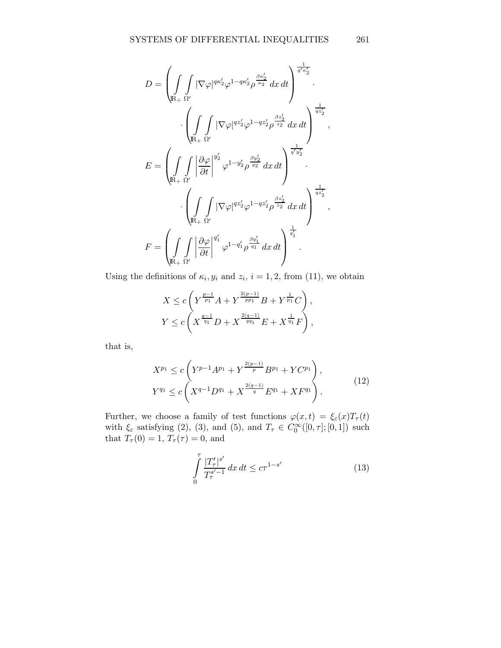$$
D = \left(\int_{\mathbb{R}_+} \int |\nabla \varphi|^{q\kappa_2'} \varphi^{1-q\kappa_2'} \rho^{\frac{\beta\kappa_2'}{\kappa_2}} dx dt\right)^{\frac{1}{q'\kappa_2'}}.
$$

$$
\cdot \left(\int_{\mathbb{R}_+} \int_{\Omega'} |\nabla \varphi|^{qz_2'} \varphi^{1-qz_2'} \rho^{\frac{\beta z_2'}{z_2}} dx dt\right)^{\frac{1}{qz_2'}}.
$$

$$
E = \left(\int_{\mathbb{R}_+} \int_{\Omega'} |\frac{\partial \varphi}{\partial t}|^{y_2'} \varphi^{1-y_2'} \rho^{\frac{\beta y_2'}{y_2}} dx dt\right)^{\frac{1}{q'y_2'}}.
$$

$$
\cdot \left(\int_{\mathbb{R}_+} \int_{\Omega'} |\nabla \varphi|^{qz_2'} \varphi^{1-qz_2'} \rho^{\frac{\beta z_2'}{z_2}} dx dt\right)^{\frac{1}{qz_2'}},
$$

$$
F = \left(\int_{\mathbb{R}_+} \int_{\Omega'} |\frac{\partial \varphi}{\partial t}|^{q_1'} \varphi^{1-q_1'} \rho^{\frac{\beta q_1'}{q_1}} dx dt\right)^{\frac{1}{q_1'}}.
$$

Using the definitions of  $\kappa_i, y_i$  and  $z_i, i = 1, 2$ , from (11), we obtain

$$
X \le c \left(Y^{\frac{p-1}{p_1}}A + Y^{\frac{2(p-1)}{p_{p_1}}}B + Y^{\frac{1}{p_1}}C\right),
$$
  

$$
Y \le c \left(X^{\frac{q-1}{q_1}}D + X^{\frac{2(q-1)}{q_{q_1}}}E + X^{\frac{1}{q_1}}F\right),
$$

that is,

$$
X^{p_1} \le c \left( Y^{p-1} A^{p_1} + Y^{\frac{2(p-1)}{p}} B^{p_1} + Y C^{p_1} \right),
$$
  
\n
$$
Y^{q_1} \le c \left( X^{q-1} D^{q_1} + X^{\frac{2(q-1)}{q}} E^{q_1} + X F^{q_1} \right).
$$
\n(12)

Further, we choose a family of test functions  $\varphi(x,t) = \xi_{\varepsilon}(x)T_{\tau}(t)$ with  $\xi_{\varepsilon}$  satisfying (2), (3), and (5), and  $T_{\tau} \in C_0^{\infty}([0, \tau]; [0, 1])$  such that  $T_{\tau}(0) = 1, T_{\tau}(\tau) = 0$ , and

$$
\int_{0}^{\tau} \frac{|T'_{\tau}|^{s'}}{T^{s'-1}_{\tau}} dx dt \le c\tau^{1-s'}
$$
\n(13)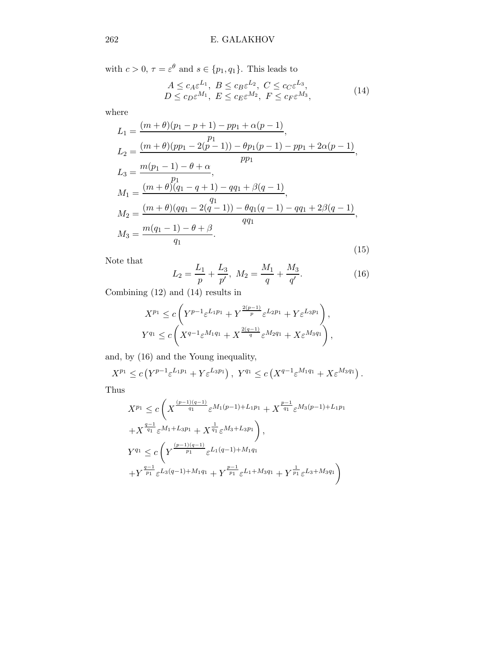with  $c > 0$ ,  $\tau = \varepsilon^{\theta}$  and  $s \in \{p_1, q_1\}$ . This leads to

$$
A \le c_A \varepsilon^{L_1}, B \le c_B \varepsilon^{L_2}, C \le c_C \varepsilon^{L_3},
$$
  
\n
$$
D \le c_D \varepsilon^{M_1}, E \le c_E \varepsilon^{M_2}, F \le c_F \varepsilon^{M_3},
$$
\n(14)

where

$$
L_1 = \frac{(m+\theta)(p_1 - p + 1) - pp_1 + \alpha(p-1)}{p_1},
$$
  
\n
$$
L_2 = \frac{(m+\theta)(pp_1 - 2(p-1)) - \theta p_1(p-1) - pp_1 + 2\alpha(p-1)}{pp_1},
$$
  
\n
$$
L_3 = \frac{m(p_1 - 1) - \theta + \alpha}{p_1},
$$
  
\n
$$
M_1 = \frac{(m+\theta)(q_1 - q + 1) - qq_1 + \beta(q-1)}{q_1},
$$
  
\n
$$
M_2 = \frac{(m+\theta)(qq_1 - 2(q-1)) - \theta q_1(q-1) - qq_1 + 2\beta(q-1)}{qq_1},
$$
  
\n
$$
M_3 = \frac{m(q_1 - 1) - \theta + \beta}{q_1}.
$$
\n(15)

Note that

$$
L_2 = \frac{L_1}{p} + \frac{L_3}{p'}, \ M_2 = \frac{M_1}{q} + \frac{M_3}{q'}.
$$
 (16)

Combining (12) and (14) results in

$$
X^{p_1} \le c \left( Y^{p-1} \varepsilon^{L_1 p_1} + Y^{\frac{2(p-1)}{p}} \varepsilon^{L_2 p_1} + Y \varepsilon^{L_3 p_1} \right),
$$
  

$$
Y^{q_1} \le c \left( X^{q-1} \varepsilon^{M_1 q_1} + X^{\frac{2(q-1)}{q}} \varepsilon^{M_2 q_1} + X \varepsilon^{M_3 q_1} \right),
$$

and, by (16) and the Young inequality,

$$
X^{p_1} \le c \left( Y^{p-1} \varepsilon^{L_1 p_1} + Y \varepsilon^{L_3 p_1} \right), \ Y^{q_1} \le c \left( X^{q-1} \varepsilon^{M_1 q_1} + X \varepsilon^{M_3 q_1} \right).
$$

Thus

$$
X^{p_1} \leq c \left( X^{\frac{(p-1)(q-1)}{q_1}} \varepsilon^{M_1(p-1)+L_1p_1} + X^{\frac{p-1}{q_1}} \varepsilon^{M_3(p-1)+L_1p_1} + X^{\frac{q-1}{q_1}} \varepsilon^{M_1+L_3p_1} + X^{\frac{1}{q_1}} \varepsilon^{M_3+L_3p_1} \right),
$$
  
\n
$$
Y^{q_1} \leq c \left( Y^{\frac{(p-1)(q-1)}{p_1}} \varepsilon^{L_1(q-1)+M_1q_1} + Y^{\frac{p-1}{p_1}} \varepsilon^{L_1+M_3q_1} + Y^{\frac{1}{p_1}} \varepsilon^{L_3+M_3q_1} \right)
$$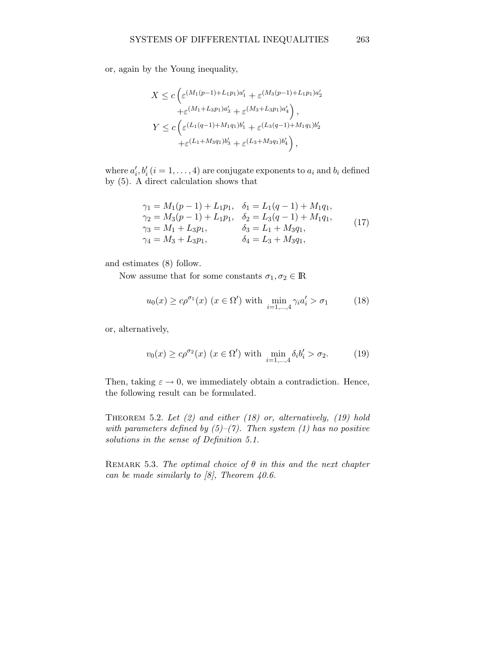or, again by the Young inequality,

$$
X \le c \left( \varepsilon^{(M_1(p-1)+L_1p_1)a'_1} + \varepsilon^{(M_3(p-1)+L_1p_1)a'_2} + \varepsilon^{(M_1+L_3p_1)a'_3} + \varepsilon^{(M_3+L_3p_1)a'_4} \right),
$$
  

$$
Y \le c \left( \varepsilon^{(L_1(q-1)+M_1q_1)b'_1} + \varepsilon^{(L_3(q-1)+M_1q_1)b'_2} + \varepsilon^{(L_1+M_3q_1)b'_3} + \varepsilon^{(L_3+M_3q_1)b'_4} \right),
$$

where  $a'_i, b'_i$   $(i = 1, ..., 4)$  are conjugate exponents to  $a_i$  and  $b_i$  defined by (5). A direct calculation shows that

$$
\gamma_1 = M_1(p-1) + L_1p_1, \quad \delta_1 = L_1(q-1) + M_1q_1, \n\gamma_2 = M_3(p-1) + L_1p_1, \quad \delta_2 = L_3(q-1) + M_1q_1, \n\gamma_3 = M_1 + L_3p_1, \quad \delta_3 = L_1 + M_3q_1, \n\gamma_4 = M_3 + L_3p_1, \quad \delta_4 = L_3 + M_3q_1,
$$
\n(17)

and estimates (8) follow.

Now assume that for some constants  $\sigma_1, \sigma_2 \in \mathbb{R}$ 

$$
u_0(x) \ge c\rho^{\sigma_1}(x) \ (x \in \Omega') \text{ with } \min_{i=1,\dots,4} \gamma_i a_i' > \sigma_1 \tag{18}
$$

or, alternatively,

$$
v_0(x) \ge c\rho^{\sigma_2}(x) \ (x \in \Omega') \text{ with } \min_{i=1,\dots,4} \delta_i b'_i > \sigma_2. \tag{19}
$$

Then, taking  $\varepsilon \to 0$ , we immediately obtain a contradiction. Hence, the following result can be formulated.

THEOREM 5.2. Let  $(2)$  and either  $(18)$  or, alternatively,  $(19)$  hold with parameters defined by  $(5)-(7)$ . Then system (1) has no positive solutions in the sense of Definition 5.1.

REMARK 5.3. The optimal choice of  $\theta$  in this and the next chapter can be made similarly to  $[8]$ , Theorem 40.6.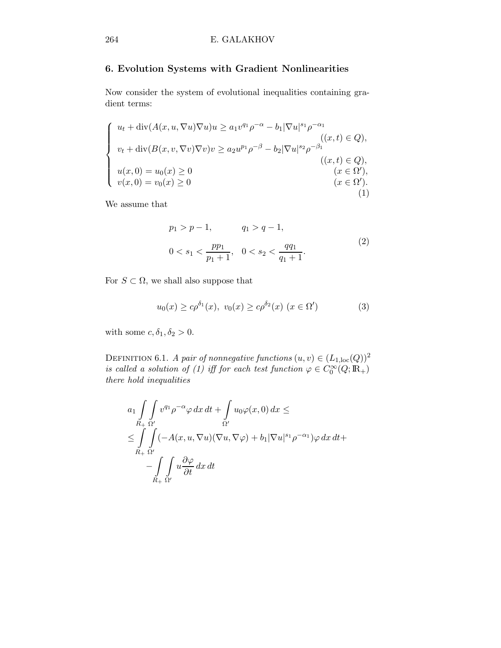# 6. Evolution Systems with Gradient Nonlinearities

Now consider the system of evolutional inequalities containing gradient terms:

$$
\begin{cases}\nu_t + \text{div}(A(x, u, \nabla u) \nabla u)u \ge a_1 v^{q_1} \rho^{-\alpha} - b_1 |\nabla u|^{s_1} \rho^{-\alpha_1} \\
v_t + \text{div}(B(x, v, \nabla v) \nabla v) v \ge a_2 u^{p_1} \rho^{-\beta} - b_2 |\nabla u|^{s_2} \rho^{-\beta_1} \\
(u, t) \in Q), \\
u(x, 0) = u_0(x) \ge 0 \\
v(x, 0) = v_0(x) \ge 0\n\end{cases}
$$
\n
$$
(x, t) \in Q,
$$
\n
$$
(x, t) \in Q),
$$
\n
$$
(x \in \Omega'),
$$
\n
$$
(x \in \Omega').
$$
\n
$$
(1)
$$

We assume that

$$
p_1 > p - 1, \t q_1 > q - 1,
$$
  
\n
$$
0 < s_1 < \frac{pp_1}{p_1 + 1}, \quad 0 < s_2 < \frac{qq_1}{q_1 + 1}.
$$
\n
$$
(2)
$$

For  $S \subset \Omega$ , we shall also suppose that

$$
u_0(x) \ge c\rho^{\delta_1}(x), \ v_0(x) \ge c\rho^{\delta_2}(x) \ (x \in \Omega')
$$
 (3)

with some  $c, \delta_1, \delta_2 > 0$ .

DEFINITION 6.1. A pair of nonnegative functions  $(u, v) \in (L_{1, loc}(Q))^2$ is called a solution of (1) iff for each test function  $\varphi \in C_0^{\infty}(Q; \mathbb{R}_+)$ there hold inequalities

$$
a_1 \int\limits_{R_+} \int\limits_{\Omega'} v^{q_1} \rho^{-\alpha} \varphi \, dx \, dt + \int\limits_{\Omega'} u_0 \varphi(x,0) \, dx \le
$$
  

$$
\leq \int\limits_{R_+} \int\limits_{\Omega'} (-A(x, u, \nabla u)(\nabla u, \nabla \varphi) + b_1 |\nabla u|^{s_1} \rho^{-\alpha_1}) \varphi \, dx \, dt +
$$
  

$$
- \int\limits_{R_+} \int\limits_{\Omega'} u \frac{\partial \varphi}{\partial t} \, dx \, dt
$$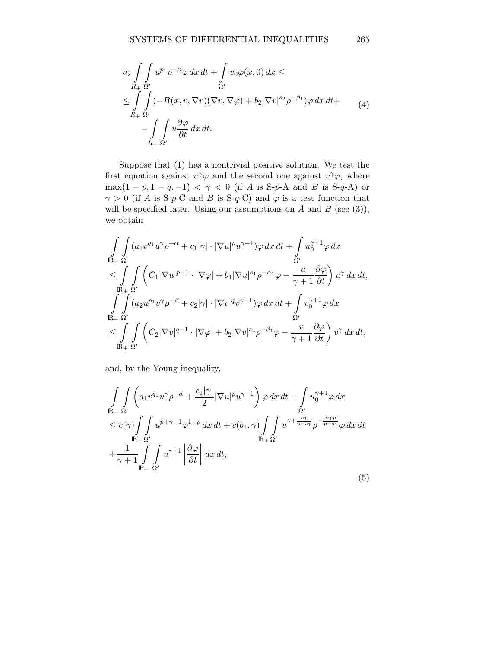$$
a_2 \int\limits_{R_+} \int\limits_{\Omega'} u^{p_1} \rho^{-\beta} \varphi \, dx \, dt + \int\limits_{\Omega'} v_0 \varphi(x,0) \, dx \le
$$
  
\n
$$
\leq \int\limits_{R_+} \int\limits_{\Omega'} (-B(x,v,\nabla v)(\nabla v,\nabla \varphi) + b_2 |\nabla v|^{s_2} \rho^{-\beta_1}) \varphi \, dx \, dt +
$$
  
\n
$$
- \int\limits_{R_+} \int\limits_{\Omega'} v \frac{\partial \varphi}{\partial t} \, dx \, dt.
$$
\n(4)

Suppose that (1) has a nontrivial positive solution. We test the first equation against  $u^{\gamma}\varphi$  and the second one against  $v^{\gamma}\varphi$ , where  $\max(1-p, 1-q, -1) < \gamma < 0$  (if A is S-p-A and B is S-q-A) or  $\gamma > 0$  (if A is S-p-C and B is S-q-C) and  $\varphi$  is a test function that will be specified later. Using our assumptions on A and B (see  $(3)$ ), we obtain

$$
\begin{split} & \int\limits_{\mathbb{R}_+} \int\limits_{\Omega'} (a_1 v^{q_1} u^\gamma \rho^{-\alpha} + c_1 |\gamma| \cdot |\nabla u|^p u^{\gamma-1}) \varphi \, dx \, dt + \int\limits_{\Omega'} u_0^{\gamma+1} \varphi \, dx \\ & \leq \int\limits_{\mathbb{R}_+} \int\limits_{\Omega'} \left( C_1 |\nabla u|^{p-1} \cdot |\nabla \varphi| + b_1 |\nabla u|^{s_1} \rho^{-\alpha_1} \varphi - \frac{u}{\gamma+1} \frac{\partial \varphi}{\partial t} \right) u^\gamma \, dx \, dt, \\ & \int\limits_{\mathbb{R}_+} \int\limits_{\Omega'} (a_2 u^{p_1} v^\gamma \rho^{-\beta} + c_2 |\gamma| \cdot |\nabla v|^q v^{\gamma-1}) \varphi \, dx \, dt + \int\limits_{\Omega'} v_0^{\gamma+1} \varphi \, dx \\ & \leq \int\limits_{\mathbb{R}_+} \int\limits_{\Omega'} \left( C_2 |\nabla v|^{q-1} \cdot |\nabla \varphi| + b_2 |\nabla v|^{s_2} \rho^{-\beta_1} \varphi - \frac{v}{\gamma+1} \frac{\partial \varphi}{\partial t} \right) v^\gamma \, dx \, dt, \end{split}
$$

and, by the Young inequality,

$$
\int_{\mathbb{R}^+} \int_{\Omega'} \left( a_1 v^{q_1} u^{\gamma} \rho^{-\alpha} + \frac{c_1 |\gamma|}{2} |\nabla u|^p u^{\gamma - 1} \right) \varphi \, dx \, dt + \int_{\Omega'} u_0^{\gamma + 1} \varphi \, dx
$$
\n
$$
\leq c(\gamma) \int_{\mathbb{R}^+} \int_{\mathbb{R}^+} u^{p + \gamma - 1} \varphi^{1 - p} \, dx \, dt + c(b_1, \gamma) \int_{\mathbb{R}^+} \int_{\mathbb{R}^+} u^{\gamma + \frac{s_1}{p - s_1}} \rho^{-\frac{\alpha_1 p}{p - s_1}} \varphi \, dx \, dt
$$
\n
$$
+ \frac{1}{\gamma + 1} \int_{\mathbb{R}^+} \int_{\Omega'} u^{\gamma + 1} \left| \frac{\partial \varphi}{\partial t} \right| \, dx \, dt,
$$
\n(5)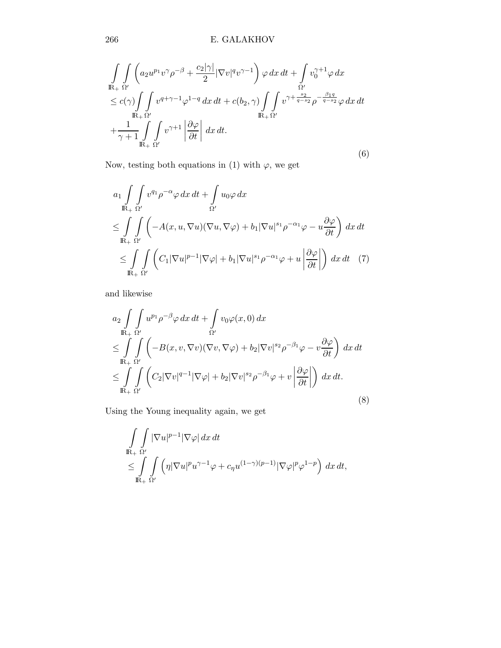266 E. GALAKHOV

$$
\int_{\mathbb{R}_{+}} \int_{\Omega'} \left( a_{2} u^{p_{1}} v^{\gamma} \rho^{-\beta} + \frac{c_{2} |\gamma|}{2} |\nabla v|^{q} v^{\gamma - 1} \right) \varphi \, dx \, dt + \int_{\Omega'} v_{0}^{\gamma + 1} \varphi \, dx
$$
\n
$$
\leq c(\gamma) \int_{\mathbb{R}_{+}} \int_{\Omega'} v^{q + \gamma - 1} \varphi^{1 - q} \, dx \, dt + c(b_{2}, \gamma) \int_{\mathbb{R}_{+}} \int_{\Omega'} v^{\gamma + \frac{s_{2}}{q - s_{2}}} \rho^{-\frac{\beta_{1} q}{q - s_{2}}} \varphi \, dx \, dt
$$
\n
$$
+ \frac{1}{\gamma + 1} \int_{\mathbb{R}_{+}} \int_{\Omega'} v^{\gamma + 1} \left| \frac{\partial \varphi}{\partial t} \right| \, dx \, dt.
$$
\n(6)

Now, testing both equations in (1) with  $\varphi$ , we get

$$
a_1 \int_{\mathbb{R}_+} \int_{\Omega'} v^{q_1} \rho^{-\alpha} \varphi \, dx \, dt + \int_{\Omega'} u_0 \varphi \, dx
$$
  
\n
$$
\leq \int_{\mathbb{R}_+} \int_{\Omega'} \left( -A(x, u, \nabla u)(\nabla u, \nabla \varphi) + b_1 |\nabla u|^{s_1} \rho^{-\alpha_1} \varphi - u \frac{\partial \varphi}{\partial t} \right) \, dx \, dt
$$
  
\n
$$
\leq \int_{\mathbb{R}_+} \int_{\Omega'} \left( C_1 |\nabla u|^{p-1} |\nabla \varphi| + b_1 |\nabla u|^{s_1} \rho^{-\alpha_1} \varphi + u \left| \frac{\partial \varphi}{\partial t} \right| \right) \, dx \, dt \quad (7)
$$

and likewise

$$
a_2 \int_{\mathbb{R}_+} \int_{\Omega'} u^{p_1} \rho^{-\beta} \varphi \, dx \, dt + \int_{\Omega'} v_0 \varphi(x,0) \, dx
$$
  
\n
$$
\leq \int_{\mathbb{R}_+} \int_{\Omega'} \left( -B(x,v,\nabla v)(\nabla v,\nabla \varphi) + b_2 |\nabla v|^{s_2} \rho^{-\beta_1} \varphi - v \frac{\partial \varphi}{\partial t} \right) \, dx \, dt
$$
  
\n
$$
\leq \int_{\mathbb{R}_+} \int_{\Omega'} \left( C_2 |\nabla v|^{q-1} |\nabla \varphi| + b_2 |\nabla v|^{s_2} \rho^{-\beta_1} \varphi + v \left| \frac{\partial \varphi}{\partial t} \right| \right) \, dx \, dt.
$$
  
\n(8)

Using the Young inequality again, we get

$$
\int_{\mathbb{R}_+} \int_{\Omega'} |\nabla u|^{p-1} |\nabla \varphi| \, dx \, dt
$$
\n
$$
\leq \int_{\mathbb{R}_+} \int_{\Omega'} \left( \eta |\nabla u|^p u^{\gamma - 1} \varphi + c_\eta u^{(1 - \gamma)(p - 1)} |\nabla \varphi|^p \varphi^{1 - p} \right) \, dx \, dt,
$$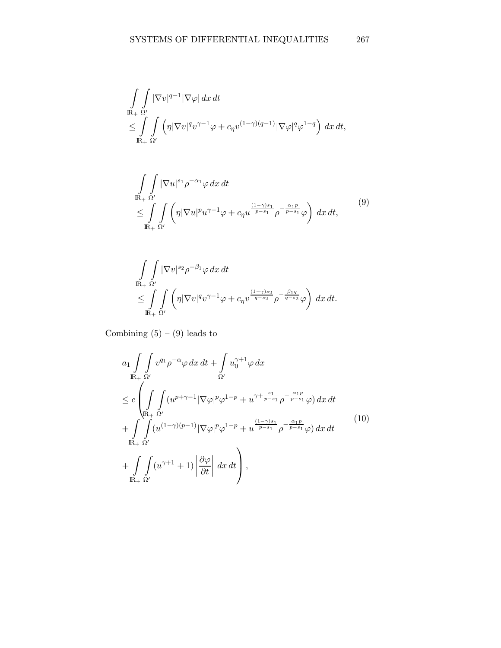$$
\int_{\mathbb{R}_+} \int_{\Omega'} |\nabla v|^{q-1} |\nabla \varphi| \, dx \, dt \n\leq \int_{\mathbb{R}_+} \int_{\Omega'} \left( \eta |\nabla v|^q v^{\gamma-1} \varphi + c_{\eta} v^{(1-\gamma)(q-1)} |\nabla \varphi|^q \varphi^{1-q} \right) \, dx \, dt,
$$

$$
\int_{\mathbb{R}_+} \int_{\Omega'} |\nabla u|^{s_1} \rho^{-\alpha_1} \varphi \, dx \, dt \n\leq \int_{\mathbb{R}_+} \int_{\Omega'} \left( \eta |\nabla u|^p u^{\gamma - 1} \varphi + c_{\eta} u^{\frac{(1 - \gamma)s_1}{p - s_1}} \rho^{-\frac{\alpha_1 p}{p - s_1}} \varphi \right) \, dx \, dt,
$$
\n(9)

$$
\int_{\mathbb{R}_+} \int_{\Omega'} |\nabla v|^{s_2} \rho^{-\beta_1} \varphi \, dx \, dt
$$
  
\n
$$
\leq \int_{\mathbb{R}_+} \int_{\Omega'} \left( \eta |\nabla v|^q v^{\gamma - 1} \varphi + c_\eta v^{\frac{(1 - \gamma)s_2}{q - s_2}} \rho^{-\frac{\beta_1 q}{q - s_2}} \varphi \right) \, dx \, dt.
$$

Combining  $(5) - (9)$  leads to

$$
a_{1} \int_{\mathbb{R}_{+}} \int_{\Omega'} v^{q_{1}} \rho^{-\alpha} \varphi \, dx \, dt + \int_{\Omega'} u_{0}^{\gamma+1} \varphi \, dx
$$
  
\n
$$
\leq c \int_{\mathbb{R}_{+}} \int_{\Omega'} (u^{p+\gamma-1} |\nabla \varphi|^{p} \varphi^{1-p} + u^{\gamma+\frac{s_{1}}{p-s_{1}}} \rho^{-\frac{\alpha_{1}p}{p-s_{1}}} \varphi) \, dx \, dt
$$
  
\n
$$
+ \int_{\mathbb{R}_{+}} \int_{\Omega'} (u^{(1-\gamma)(p-1)} |\nabla \varphi|^{p} \varphi^{1-p} + u^{\frac{(1-\gamma)s_{1}}{p-s_{1}}} \rho^{-\frac{\alpha_{1}p}{p-s_{1}}} \varphi) \, dx \, dt
$$
  
\n
$$
+ \int_{\mathbb{R}_{+}} \int_{\Omega'} (u^{\gamma+1} + 1) \left| \frac{\partial \varphi}{\partial t} \right| \, dx \, dt \Bigg), \qquad (10)
$$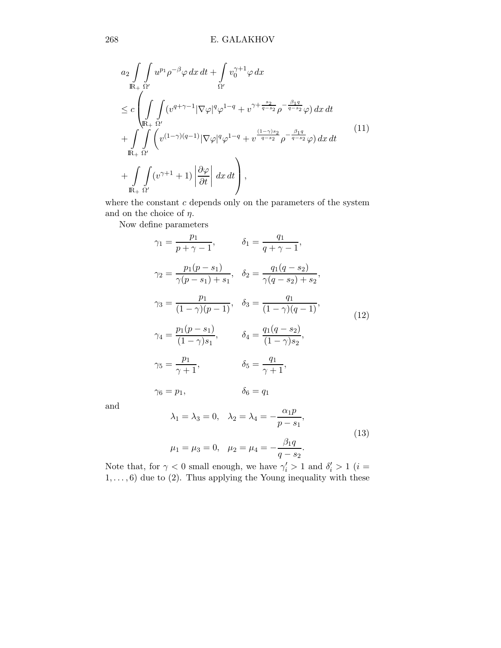$$
a_2 \int_{\mathbb{R}_+} \int u^{p_1} \rho^{-\beta} \varphi \, dx \, dt + \int_{\Omega'} v_0^{\gamma+1} \varphi \, dx
$$
  
\n
$$
\leq c \left( \int_{\mathbb{R}_+} \int (v^{q+\gamma-1} |\nabla \varphi|^q \varphi^{1-q} + v^{\gamma+\frac{s_2}{q-s_2}} \rho^{-\frac{\beta_1 q}{q-s_2}} \varphi) \, dx \, dt + \int_{\mathbb{R}_+} \int_{\Omega'} \left( v^{(1-\gamma)(q-1)} |\nabla \varphi|^q \varphi^{1-q} + v^{\frac{(1-\gamma)s_2}{q-s_2}} \rho^{-\frac{\beta_1 q}{q-s_2}} \varphi \right) dx \, dt + \int_{\mathbb{R}_+} \int_{\Omega'} (v^{\gamma+1} + 1) \left| \frac{\partial \varphi}{\partial t} \right| \, dx \, dt \right),
$$
\n(11)

where the constant  $c$  depends only on the parameters of the system and on the choice of  $\eta$ .

Now define parameters

$$
\gamma_1 = \frac{p_1}{p + \gamma - 1}, \qquad \delta_1 = \frac{q_1}{q + \gamma - 1},
$$
  
\n
$$
\gamma_2 = \frac{p_1(p - s_1)}{\gamma(p - s_1) + s_1}, \quad \delta_2 = \frac{q_1(q - s_2)}{\gamma(q - s_2) + s_2},
$$
  
\n
$$
\gamma_3 = \frac{p_1}{(1 - \gamma)(p - 1)}, \quad \delta_3 = \frac{q_1}{(1 - \gamma)(q - 1)},
$$
  
\n
$$
\gamma_4 = \frac{p_1(p - s_1)}{(1 - \gamma)s_1}, \qquad \delta_4 = \frac{q_1(q - s_2)}{(1 - \gamma)s_2},
$$
  
\n
$$
\gamma_5 = \frac{p_1}{\gamma + 1}, \qquad \delta_5 = \frac{q_1}{\gamma + 1},
$$
  
\n
$$
\gamma_6 = p_1, \qquad \delta_6 = q_1
$$
  
\n(12)

and

$$
\lambda_1 = \lambda_3 = 0, \quad \lambda_2 = \lambda_4 = -\frac{\alpha_1 p}{p - s_1},
$$
  

$$
\mu_1 = \mu_3 = 0, \quad \mu_2 = \mu_4 = -\frac{\beta_1 q}{q - s_2}.
$$
 (13)

Note that, for  $\gamma < 0$  small enough, we have  $\gamma_i' > 1$  and  $\delta_i' > 1$  (*i* =  $1, \ldots, 6$  due to (2). Thus applying the Young inequality with these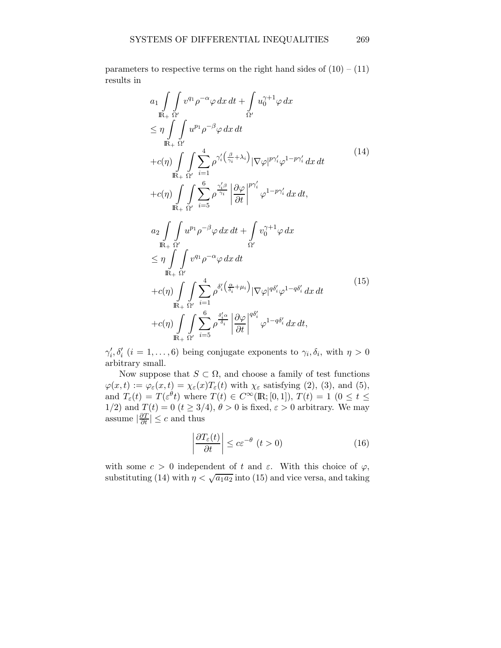parameters to respective terms on the right hand sides of  $(10) - (11)$ results in

$$
a_{1} \int_{\mathbb{R}_{+}} \int_{\Omega'} v^{q_{1}} \rho^{-\alpha} \varphi \, dx \, dt + \int_{\Omega'} u_{0}^{\gamma+1} \varphi \, dx
$$
\n
$$
\leq \eta \int_{\mathbb{R}_{+}} \int_{\Omega'} u^{p_{1}} \rho^{-\beta} \varphi \, dx \, dt
$$
\n
$$
+ c(\eta) \int_{\mathbb{R}_{+}} \int_{\Omega'} \sum_{i=1}^{4} \rho^{\gamma'_{i} \left(\frac{\beta}{\gamma_{i}} + \lambda_{i}\right)} |\nabla \varphi|^{p\gamma'_{i}} \varphi^{1-p\gamma'_{i}} \, dx \, dt
$$
\n
$$
+ c(\eta) \int_{\mathbb{R}_{+}} \int_{\Omega'} \sum_{i=5}^{6} \rho^{\frac{\gamma'_{i}\beta}{\gamma_{i}}} \left| \frac{\partial \varphi}{\partial t} \right|^{p\gamma'_{i}} \varphi^{1-p\gamma'_{i}} \, dx \, dt,
$$
\n
$$
a_{2} \int_{\mathbb{R}_{+}} \int_{\Omega'} u^{p_{1}} \rho^{-\beta} \varphi \, dx \, dt + \int_{\Omega'} v_{0}^{\gamma+1} \varphi \, dx
$$
\n
$$
\leq \eta \int_{\mathbb{R}_{+}} \int_{\Omega'} v^{q_{1}} \rho^{-\alpha} \varphi \, dx \, dt
$$
\n
$$
+ c(\eta) \int_{\mathbb{R}_{+}} \int_{\Omega'} \sum_{i=1}^{4} \rho^{\delta'_{i} \left(\frac{\alpha}{\delta_{i}} + \mu_{i}\right)} |\nabla \varphi|^{q\delta'_{i}} \varphi^{1-q\delta'_{i}} \, dx \, dt
$$
\n
$$
+ c(\eta) \int_{\mathbb{R}_{+}} \int_{\Omega'} \sum_{i=5}^{6} \rho^{\frac{\delta'_{i}\alpha}{\delta_{i}}} \left| \frac{\partial \varphi}{\partial t} \right|^{q\delta'_{i}} \varphi^{1-q\delta'_{i}} \, dx \, dt,
$$
\n(15)

 $\gamma'_i, \delta'_i$  ( $i = 1, \ldots, 6$ ) being conjugate exponents to  $\gamma_i, \delta_i$ , with  $\eta > 0$ arbitrary small.

Now suppose that  $S \subset \Omega$ , and choose a family of test functions  $\varphi(x,t) := \varphi_{\varepsilon}(x,t) = \chi_{\varepsilon}(x)T_{\varepsilon}(t)$  with  $\chi_{\varepsilon}$  satisfying (2), (3), and (5), and  $T_{\varepsilon}(t) = T(\varepsilon^{\theta} t)$  where  $T(t) \in C^{\infty}(\mathbb{R};[0,1]), T(t) = 1$   $(0 \le t \le$ 1/2) and  $T(t) = 0$   $(t \ge 3/4)$ ,  $\theta > 0$  is fixed,  $\varepsilon > 0$  arbitrary. We may assume  $\left|\frac{\partial T}{\partial t}\right| \leq c$  and thus

$$
\left| \frac{\partial T_{\varepsilon}(t)}{\partial t} \right| \le c \varepsilon^{-\theta} \ (t > 0)
$$
\n(16)

with some  $c > 0$  independent of t and  $\varepsilon$ . With this choice of  $\varphi$ , substituting (14) with  $\eta < \sqrt{a_1 a_2}$  into (15) and vice versa, and taking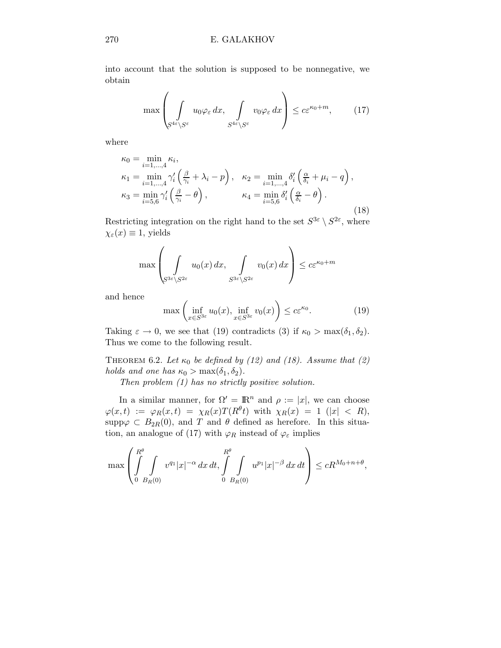into account that the solution is supposed to be nonnegative, we obtain

$$
\max\left(\int_{S^{4\varepsilon}\setminus S^{\varepsilon}} u_0 \varphi_{\varepsilon} dx, \int_{S^{4\varepsilon}\setminus S^{\varepsilon}} v_0 \varphi_{\varepsilon} dx\right) \le c\varepsilon^{\kappa_0+m},\qquad(17)
$$

where

$$
\kappa_0 = \min_{i=1,\dots,4} \kappa_i,
$$
  
\n
$$
\kappa_1 = \min_{i=1,\dots,4} \gamma'_i \left( \frac{\beta}{\gamma_i} + \lambda_i - p \right), \quad \kappa_2 = \min_{i=1,\dots,4} \delta'_i \left( \frac{\alpha}{\delta_i} + \mu_i - q \right),
$$
  
\n
$$
\kappa_3 = \min_{i=5,6} \gamma'_i \left( \frac{\beta}{\gamma_i} - \theta \right), \qquad \kappa_4 = \min_{i=5,6} \delta'_i \left( \frac{\alpha}{\delta_i} - \theta \right).
$$
  
\n(18)

Restricting integration on the right hand to the set  $S^{3\varepsilon} \setminus S^{2\varepsilon}$ , where  $\chi_{\varepsilon}(x) \equiv 1$ , yields

$$
\max \left( \int_{S^{3\varepsilon} \setminus S^{2\varepsilon}} u_0(x) \, dx, \int_{S^{3\varepsilon} \setminus S^{2\varepsilon}} v_0(x) \, dx \right) \le c \varepsilon^{\kappa_0 + m}
$$

and hence

$$
\max\left(\inf_{x \in S^{3\varepsilon}} u_0(x), \inf_{x \in S^{3\varepsilon}} v_0(x)\right) \le c\varepsilon^{\kappa_0}.\tag{19}
$$

Taking  $\varepsilon \to 0$ , we see that (19) contradicts (3) if  $\kappa_0 > \max(\delta_1, \delta_2)$ . Thus we come to the following result.

THEOREM 6.2. Let  $\kappa_0$  be defined by (12) and (18). Assume that (2) holds and one has  $\kappa_0 > \max(\delta_1, \delta_2)$ .

Then problem (1) has no strictly positive solution.

In a similar manner, for  $\Omega' = \mathbb{R}^n$  and  $\rho := |x|$ , we can choose  $\varphi(x,t) := \varphi_R(x,t) = \chi_R(x) T(R^{\theta}t)$  with  $\chi_R(x) = 1$  (|x| < R), supp $\varphi \subset B_{2R}(0)$ , and T and  $\theta$  defined as herefore. In this situation, an analogue of (17) with  $\varphi_R$  instead of  $\varphi_\varepsilon$  implies

$$
\max \left( \int_{0}^{R^{\theta}} \int_{B_R(0)} v^{q_1} |x|^{-\alpha} dx dt, \int_{0}^{R^{\theta}} \int_{B_R(0)} u^{p_1} |x|^{-\beta} dx dt \right) \leq c R^{M_0 + n + \theta},
$$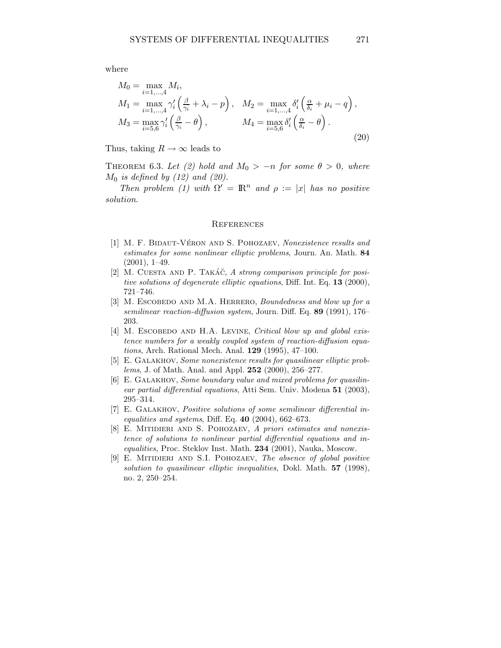where

$$
M_0 = \max_{i=1,\dots,4} M_i,
$$
  
\n
$$
M_1 = \max_{i=1,\dots,4} \gamma'_i \left(\frac{\beta}{\gamma_i} + \lambda_i - p\right), \quad M_2 = \max_{i=1,\dots,4} \delta'_i \left(\frac{\alpha}{\delta_i} + \mu_i - q\right),
$$
  
\n
$$
M_3 = \max_{i=5,6} \gamma'_i \left(\frac{\beta}{\gamma_i} - \theta\right), \qquad M_4 = \max_{i=5,6} \delta'_i \left(\frac{\alpha}{\delta_i} - \theta\right).
$$
\n(20)

Thus, taking  $R \to \infty$  leads to

THEOREM 6.3. Let (2) hold and  $M_0 > -n$  for some  $\theta > 0$ , where  $M_0$  is defined by (12) and (20).

Then problem (1) with  $\Omega' = \mathbb{R}^n$  and  $\rho := |x|$  has no positive solution.

#### **REFERENCES**

- [1] M. F. BIDAUT-VÉRON AND S. POHOZAEV, Nonexistence results and estimates for some nonlinear elliptic problems, Journ. An. Math. 84 (2001), 1–49.
- [2] M. CUESTA AND P. TAKÁČ, A strong comparison principle for positive solutions of degenerate elliptic equations, Diff. Int. Eq. 13 (2000), 721–746.
- [3] M. ESCOBEDO AND M.A. HERRERO, Boundedness and blow up for a semilinear reaction-diffusion system, Journ. Diff. Eq. 89 (1991), 176– 203.
- [4] M. ESCOBEDO AND H.A. LEVINE, Critical blow up and global existence numbers for a weakly coupled system of reaction-diffusion equations, Arch. Rational Mech. Anal. 129 (1995), 47–100.
- [5] E. GALAKHOV, Some nonexistence results for quasilinear elliptic problems, J. of Math. Anal. and Appl. 252 (2000), 256–277.
- [6] E. Galakhov, Some boundary value and mixed problems for quasilinear partial differential equations, Atti Sem. Univ. Modena 51 (2003), 295–314.
- [7] E. GALAKHOV, *Positive solutions of some semilinear differential in*equalities and systems, Diff. Eq.  $40$  (2004), 662–673.
- [8] E. MITIDIERI AND S. POHOZAEV, A priori estimates and nonexistence of solutions to nonlinear partial differential equations and inequalities, Proc. Steklov Inst. Math. 234 (2001), Nauka, Moscow.
- [9] E. MITIDIERI AND S.I. POHOZAEV, The absence of global positive solution to quasilinear elliptic inequalities, Dokl. Math. 57 (1998), no. 2, 250–254.